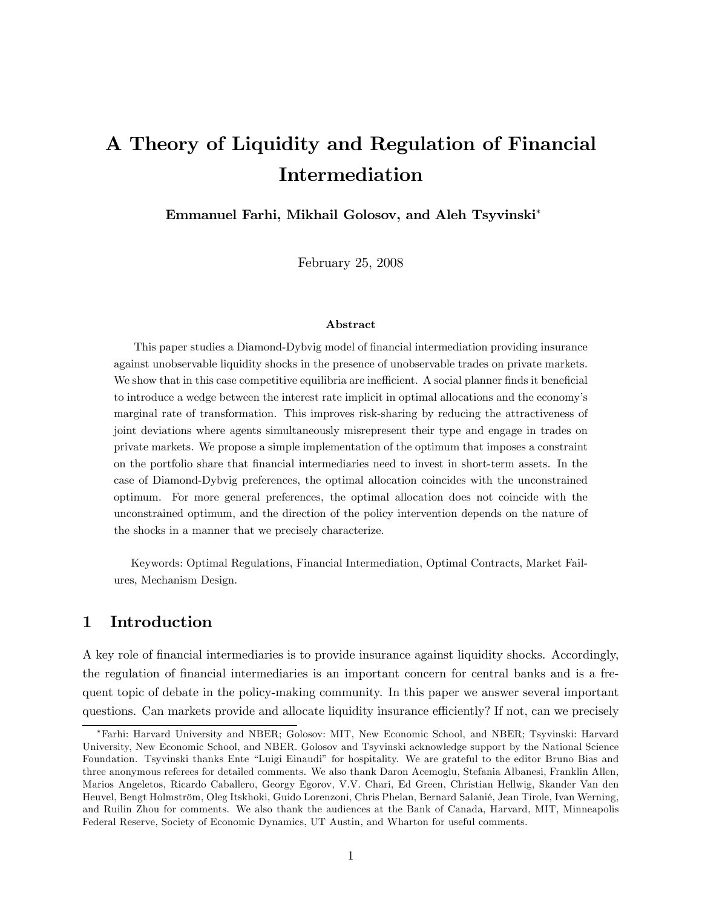# A Theory of Liquidity and Regulation of Financial Intermediation

Emmanuel Farhi, Mikhail Golosov, and Aleh Tsyvinski

February 25, 2008

#### Abstract

This paper studies a Diamond-Dybvig model of financial intermediation providing insurance against unobservable liquidity shocks in the presence of unobservable trades on private markets. We show that in this case competitive equilibria are inefficient. A social planner finds it beneficial to introduce a wedge between the interest rate implicit in optimal allocations and the economyís marginal rate of transformation. This improves risk-sharing by reducing the attractiveness of joint deviations where agents simultaneously misrepresent their type and engage in trades on private markets. We propose a simple implementation of the optimum that imposes a constraint on the portfolio share that Önancial intermediaries need to invest in short-term assets. In the case of Diamond-Dybvig preferences, the optimal allocation coincides with the unconstrained optimum. For more general preferences, the optimal allocation does not coincide with the unconstrained optimum, and the direction of the policy intervention depends on the nature of the shocks in a manner that we precisely characterize.

Keywords: Optimal Regulations, Financial Intermediation, Optimal Contracts, Market Failures, Mechanism Design.

## 1 Introduction

A key role of Önancial intermediaries is to provide insurance against liquidity shocks. Accordingly, the regulation of financial intermediaries is an important concern for central banks and is a frequent topic of debate in the policy-making community. In this paper we answer several important questions. Can markets provide and allocate liquidity insurance efficiently? If not, can we precisely

Farhi: Harvard University and NBER; Golosov: MIT, New Economic School, and NBER; Tsyvinski: Harvard University, New Economic School, and NBER. Golosov and Tsyvinski acknowledge support by the National Science Foundation. Tsyvinski thanks Ente "Luigi Einaudi" for hospitality. We are grateful to the editor Bruno Bias and three anonymous referees for detailed comments. We also thank Daron Acemoglu, Stefania Albanesi, Franklin Allen, Marios Angeletos, Ricardo Caballero, Georgy Egorov, V.V. Chari, Ed Green, Christian Hellwig, Skander Van den Heuvel, Bengt Holmström, Oleg Itskhoki, Guido Lorenzoni, Chris Phelan, Bernard Salanié, Jean Tirole, Ivan Werning, and Ruilin Zhou for comments. We also thank the audiences at the Bank of Canada, Harvard, MIT, Minneapolis Federal Reserve, Society of Economic Dynamics, UT Austin, and Wharton for useful comments.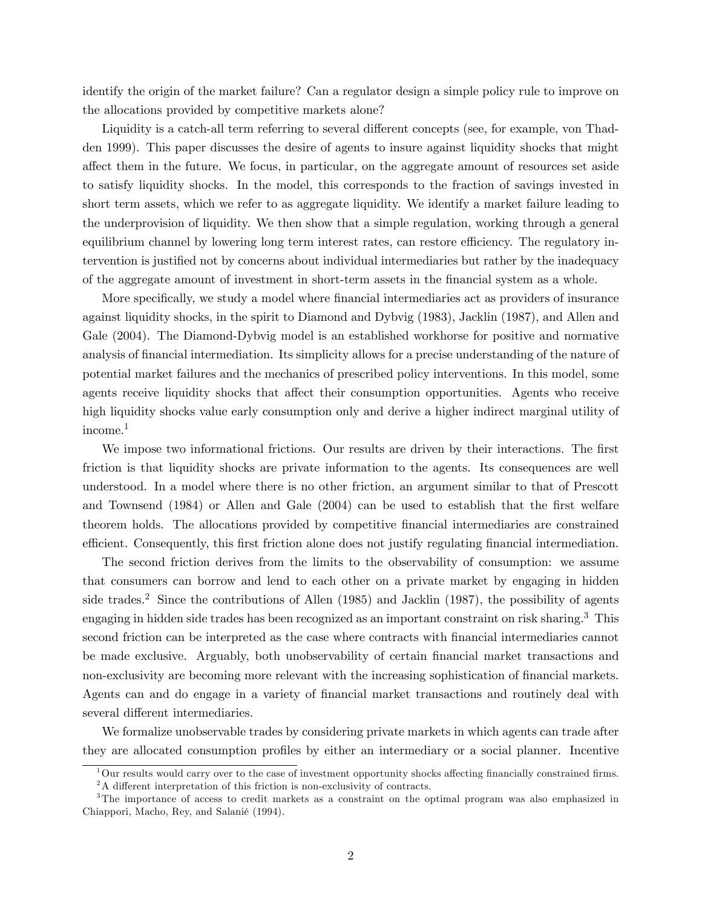identify the origin of the market failure? Can a regulator design a simple policy rule to improve on the allocations provided by competitive markets alone?

Liquidity is a catch-all term referring to several different concepts (see, for example, von Thadden 1999). This paper discusses the desire of agents to insure against liquidity shocks that might affect them in the future. We focus, in particular, on the aggregate amount of resources set aside to satisfy liquidity shocks. In the model, this corresponds to the fraction of savings invested in short term assets, which we refer to as aggregate liquidity. We identify a market failure leading to the underprovision of liquidity. We then show that a simple regulation, working through a general equilibrium channel by lowering long term interest rates, can restore efficiency. The regulatory intervention is justified not by concerns about individual intermediaries but rather by the inadequacy of the aggregate amount of investment in short-term assets in the Önancial system as a whole.

More specifically, we study a model where financial intermediaries act as providers of insurance against liquidity shocks, in the spirit to Diamond and Dybvig (1983), Jacklin (1987), and Allen and Gale (2004). The Diamond-Dybvig model is an established workhorse for positive and normative analysis of financial intermediation. Its simplicity allows for a precise understanding of the nature of potential market failures and the mechanics of prescribed policy interventions. In this model, some agents receive liquidity shocks that affect their consumption opportunities. Agents who receive high liquidity shocks value early consumption only and derive a higher indirect marginal utility of income.<sup>1</sup>

We impose two informational frictions. Our results are driven by their interactions. The first friction is that liquidity shocks are private information to the agents. Its consequences are well understood. In a model where there is no other friction, an argument similar to that of Prescott and Townsend (1984) or Allen and Gale (2004) can be used to establish that the first welfare theorem holds. The allocations provided by competitive financial intermediaries are constrained efficient. Consequently, this first friction alone does not justify regulating financial intermediation.

The second friction derives from the limits to the observability of consumption: we assume that consumers can borrow and lend to each other on a private market by engaging in hidden side trades.<sup>2</sup> Since the contributions of Allen (1985) and Jacklin (1987), the possibility of agents engaging in hidden side trades has been recognized as an important constraint on risk sharing.<sup>3</sup> This second friction can be interpreted as the case where contracts with financial intermediaries cannot be made exclusive. Arguably, both unobservability of certain Önancial market transactions and non-exclusivity are becoming more relevant with the increasing sophistication of financial markets. Agents can and do engage in a variety of financial market transactions and routinely deal with several different intermediaries.

We formalize unobservable trades by considering private markets in which agents can trade after they are allocated consumption profiles by either an intermediary or a social planner. Incentive

 $1$ Our results would carry over to the case of investment opportunity shocks affecting financially constrained firms.

 $2A$  different interpretation of this friction is non-exclusivity of contracts.

<sup>&</sup>lt;sup>3</sup>The importance of access to credit markets as a constraint on the optimal program was also emphasized in Chiappori, Macho, Rey, and Salanié (1994).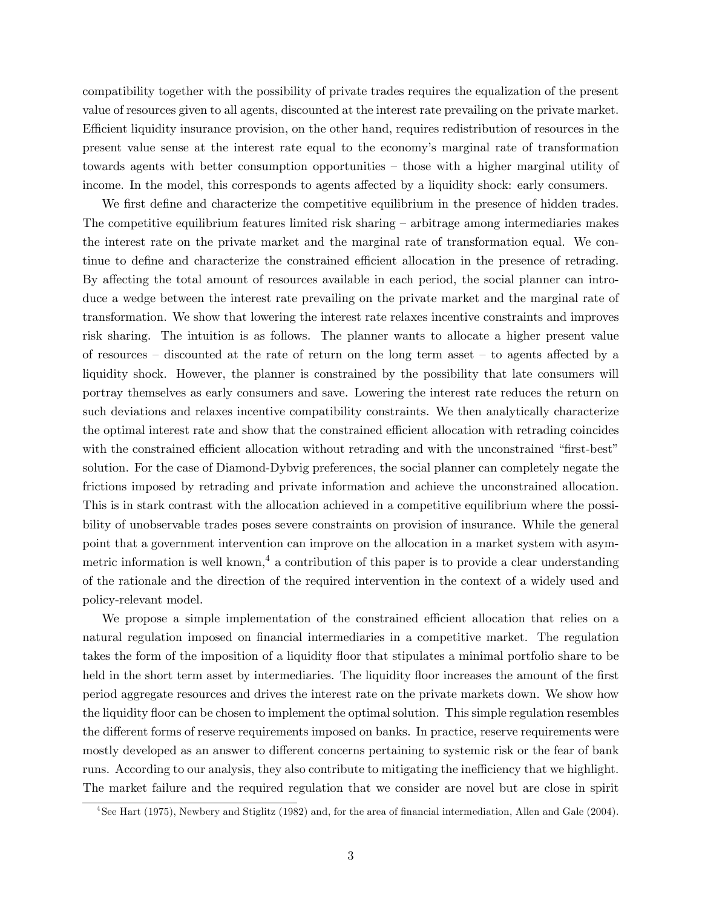compatibility together with the possibility of private trades requires the equalization of the present value of resources given to all agents, discounted at the interest rate prevailing on the private market. Efficient liquidity insurance provision, on the other hand, requires redistribution of resources in the present value sense at the interest rate equal to the economyís marginal rate of transformation towards agents with better consumption opportunities – those with a higher marginal utility of income. In the model, this corresponds to agents affected by a liquidity shock: early consumers.

We first define and characterize the competitive equilibrium in the presence of hidden trades. The competitive equilibrium features limited risk sharing  $-$  arbitrage among intermediaries makes the interest rate on the private market and the marginal rate of transformation equal. We continue to define and characterize the constrained efficient allocation in the presence of retrading. By affecting the total amount of resources available in each period, the social planner can introduce a wedge between the interest rate prevailing on the private market and the marginal rate of transformation. We show that lowering the interest rate relaxes incentive constraints and improves risk sharing. The intuition is as follows. The planner wants to allocate a higher present value of resources  $-$  discounted at the rate of return on the long term asset  $-$  to agents affected by a liquidity shock. However, the planner is constrained by the possibility that late consumers will portray themselves as early consumers and save. Lowering the interest rate reduces the return on such deviations and relaxes incentive compatibility constraints. We then analytically characterize the optimal interest rate and show that the constrained efficient allocation with retrading coincides with the constrained efficient allocation without retrading and with the unconstrained "first-best" solution. For the case of Diamond-Dybvig preferences, the social planner can completely negate the frictions imposed by retrading and private information and achieve the unconstrained allocation. This is in stark contrast with the allocation achieved in a competitive equilibrium where the possibility of unobservable trades poses severe constraints on provision of insurance. While the general point that a government intervention can improve on the allocation in a market system with asymmetric information is well known,<sup>4</sup> a contribution of this paper is to provide a clear understanding of the rationale and the direction of the required intervention in the context of a widely used and policy-relevant model.

We propose a simple implementation of the constrained efficient allocation that relies on a natural regulation imposed on financial intermediaries in a competitive market. The regulation takes the form of the imposition of a liquidity floor that stipulates a minimal portfolio share to be held in the short term asset by intermediaries. The liquidity floor increases the amount of the first period aggregate resources and drives the interest rate on the private markets down. We show how the liquidity floor can be chosen to implement the optimal solution. This simple regulation resembles the different forms of reserve requirements imposed on banks. In practice, reserve requirements were mostly developed as an answer to different concerns pertaining to systemic risk or the fear of bank runs. According to our analysis, they also contribute to mitigating the inefficiency that we highlight. The market failure and the required regulation that we consider are novel but are close in spirit

<sup>4</sup> See Hart (1975), Newbery and Stiglitz (1982) and, for the area of Önancial intermediation, Allen and Gale (2004).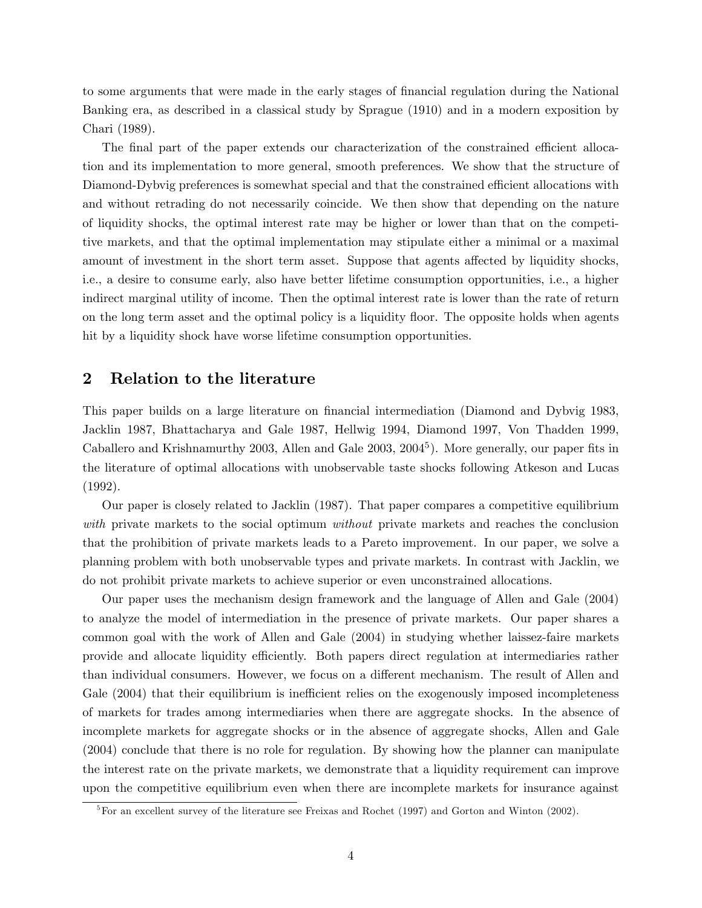to some arguments that were made in the early stages of financial regulation during the National Banking era, as described in a classical study by Sprague (1910) and in a modern exposition by Chari (1989).

The final part of the paper extends our characterization of the constrained efficient allocation and its implementation to more general, smooth preferences. We show that the structure of Diamond-Dybvig preferences is somewhat special and that the constrained efficient allocations with and without retrading do not necessarily coincide. We then show that depending on the nature of liquidity shocks, the optimal interest rate may be higher or lower than that on the competitive markets, and that the optimal implementation may stipulate either a minimal or a maximal amount of investment in the short term asset. Suppose that agents affected by liquidity shocks, i.e., a desire to consume early, also have better lifetime consumption opportunities, i.e., a higher indirect marginal utility of income. Then the optimal interest rate is lower than the rate of return on the long term asset and the optimal policy is a liquidity áoor. The opposite holds when agents hit by a liquidity shock have worse lifetime consumption opportunities.

## 2 Relation to the literature

This paper builds on a large literature on financial intermediation (Diamond and Dybvig 1983, Jacklin 1987, Bhattacharya and Gale 1987, Hellwig 1994, Diamond 1997, Von Thadden 1999, Caballero and Krishnamurthy 2003, Allen and Gale 2003, 2004<sup>5</sup>). More generally, our paper fits in the literature of optimal allocations with unobservable taste shocks following Atkeson and Lucas (1992).

Our paper is closely related to Jacklin (1987). That paper compares a competitive equilibrium with private markets to the social optimum without private markets and reaches the conclusion that the prohibition of private markets leads to a Pareto improvement. In our paper, we solve a planning problem with both unobservable types and private markets. In contrast with Jacklin, we do not prohibit private markets to achieve superior or even unconstrained allocations.

Our paper uses the mechanism design framework and the language of Allen and Gale (2004) to analyze the model of intermediation in the presence of private markets. Our paper shares a common goal with the work of Allen and Gale (2004) in studying whether laissez-faire markets provide and allocate liquidity efficiently. Both papers direct regulation at intermediaries rather than individual consumers. However, we focus on a different mechanism. The result of Allen and Gale (2004) that their equilibrium is inefficient relies on the exogenously imposed incompleteness of markets for trades among intermediaries when there are aggregate shocks. In the absence of incomplete markets for aggregate shocks or in the absence of aggregate shocks, Allen and Gale (2004) conclude that there is no role for regulation. By showing how the planner can manipulate the interest rate on the private markets, we demonstrate that a liquidity requirement can improve upon the competitive equilibrium even when there are incomplete markets for insurance against

<sup>&</sup>lt;sup>5</sup>For an excellent survey of the literature see Freixas and Rochet (1997) and Gorton and Winton (2002).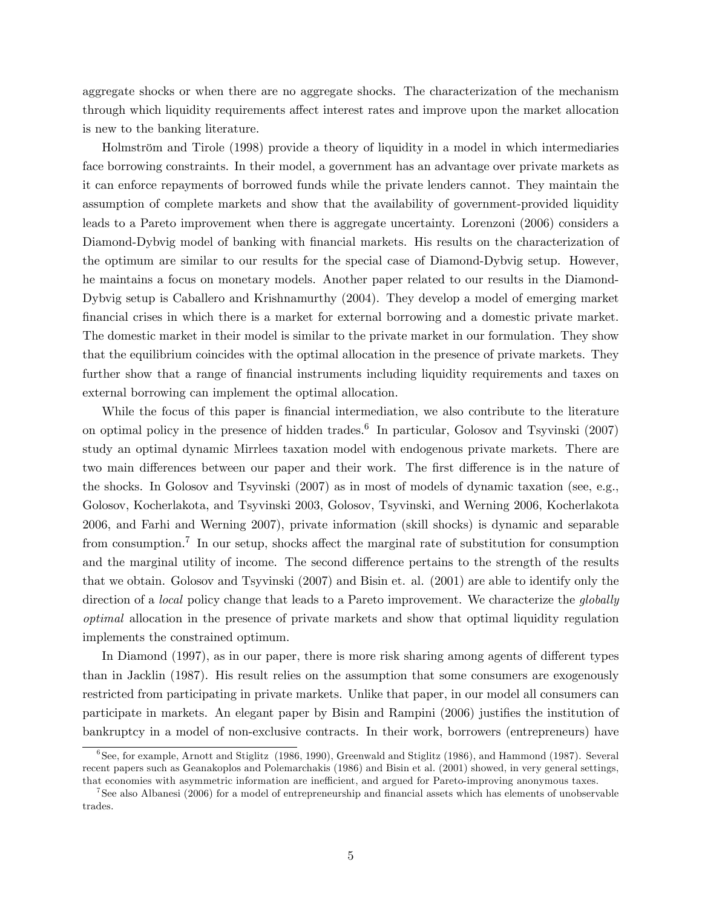aggregate shocks or when there are no aggregate shocks. The characterization of the mechanism through which liquidity requirements affect interest rates and improve upon the market allocation is new to the banking literature.

Holmström and Tirole (1998) provide a theory of liquidity in a model in which intermediaries face borrowing constraints. In their model, a government has an advantage over private markets as it can enforce repayments of borrowed funds while the private lenders cannot. They maintain the assumption of complete markets and show that the availability of government-provided liquidity leads to a Pareto improvement when there is aggregate uncertainty. Lorenzoni (2006) considers a Diamond-Dybvig model of banking with financial markets. His results on the characterization of the optimum are similar to our results for the special case of Diamond-Dybvig setup. However, he maintains a focus on monetary models. Another paper related to our results in the Diamond-Dybvig setup is Caballero and Krishnamurthy (2004). They develop a model of emerging market Önancial crises in which there is a market for external borrowing and a domestic private market. The domestic market in their model is similar to the private market in our formulation. They show that the equilibrium coincides with the optimal allocation in the presence of private markets. They further show that a range of financial instruments including liquidity requirements and taxes on external borrowing can implement the optimal allocation.

While the focus of this paper is financial intermediation, we also contribute to the literature on optimal policy in the presence of hidden trades.<sup>6</sup> In particular, Golosov and Tsyvinski (2007) study an optimal dynamic Mirrlees taxation model with endogenous private markets. There are two main differences between our paper and their work. The first difference is in the nature of the shocks. In Golosov and Tsyvinski (2007) as in most of models of dynamic taxation (see, e.g., Golosov, Kocherlakota, and Tsyvinski 2003, Golosov, Tsyvinski, and Werning 2006, Kocherlakota 2006, and Farhi and Werning 2007), private information (skill shocks) is dynamic and separable from consumption.<sup>7</sup> In our setup, shocks affect the marginal rate of substitution for consumption and the marginal utility of income. The second difference pertains to the strength of the results that we obtain. Golosov and Tsyvinski (2007) and Bisin et. al. (2001) are able to identify only the direction of a *local* policy change that leads to a Pareto improvement. We characterize the *globally* optimal allocation in the presence of private markets and show that optimal liquidity regulation implements the constrained optimum.

In Diamond (1997), as in our paper, there is more risk sharing among agents of different types than in Jacklin (1987). His result relies on the assumption that some consumers are exogenously restricted from participating in private markets. Unlike that paper, in our model all consumers can participate in markets. An elegant paper by Bisin and Rampini (2006) justifies the institution of bankruptcy in a model of non-exclusive contracts. In their work, borrowers (entrepreneurs) have

<sup>6</sup> See, for example, Arnott and Stiglitz (1986, 1990), Greenwald and Stiglitz (1986), and Hammond (1987). Several recent papers such as Geanakoplos and Polemarchakis (1986) and Bisin et al. (2001) showed, in very general settings, that economies with asymmetric information are inefficient, and argued for Pareto-improving anonymous taxes.

<sup>&</sup>lt;sup>7</sup> See also Albanesi (2006) for a model of entrepreneurship and financial assets which has elements of unobservable trades.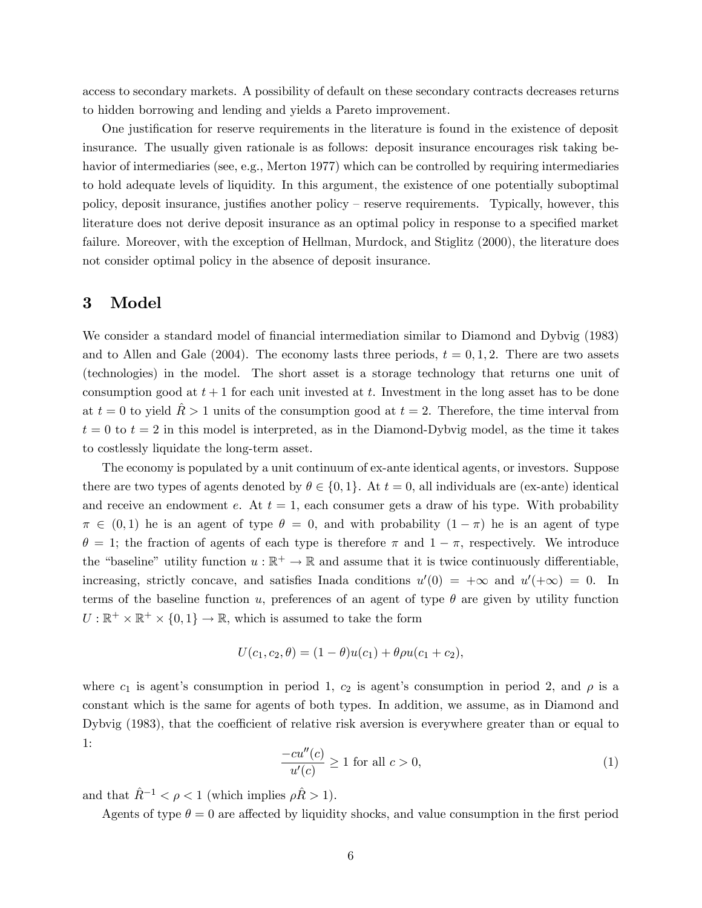access to secondary markets. A possibility of default on these secondary contracts decreases returns to hidden borrowing and lending and yields a Pareto improvement.

One justification for reserve requirements in the literature is found in the existence of deposit insurance. The usually given rationale is as follows: deposit insurance encourages risk taking behavior of intermediaries (see, e.g., Merton 1977) which can be controlled by requiring intermediaries to hold adequate levels of liquidity. In this argument, the existence of one potentially suboptimal policy, deposit insurance, justifies another policy – reserve requirements. Typically, however, this literature does not derive deposit insurance as an optimal policy in response to a specified market failure. Moreover, with the exception of Hellman, Murdock, and Stiglitz (2000), the literature does not consider optimal policy in the absence of deposit insurance.

## 3 Model

We consider a standard model of financial intermediation similar to Diamond and Dybvig (1983) and to Allen and Gale (2004). The economy lasts three periods,  $t = 0, 1, 2$ . There are two assets (technologies) in the model. The short asset is a storage technology that returns one unit of consumption good at  $t + 1$  for each unit invested at t. Investment in the long asset has to be done at  $t = 0$  to yield  $R > 1$  units of the consumption good at  $t = 2$ . Therefore, the time interval from  $t = 0$  to  $t = 2$  in this model is interpreted, as in the Diamond-Dybvig model, as the time it takes to costlessly liquidate the long-term asset.

The economy is populated by a unit continuum of ex-ante identical agents, or investors. Suppose there are two types of agents denoted by  $\theta \in \{0, 1\}$ . At  $t = 0$ , all individuals are (ex-ante) identical and receive an endowment e. At  $t = 1$ , each consumer gets a draw of his type. With probability  $\pi \in (0,1)$  he is an agent of type  $\theta = 0$ , and with probability  $(1 - \pi)$  he is an agent of type  $\theta = 1$ ; the fraction of agents of each type is therefore  $\pi$  and  $1 - \pi$ , respectively. We introduce the "baseline" utility function  $u : \mathbb{R}^+ \to \mathbb{R}$  and assume that it is twice continuously differentiable, increasing, strictly concave, and satisfies Inada conditions  $u'(0) = +\infty$  and  $u'(+\infty) = 0$ . In terms of the baseline function u, preferences of an agent of type  $\theta$  are given by utility function  $U: \mathbb{R}^+ \times \mathbb{R}^+ \times \{0,1\} \to \mathbb{R}$ , which is assumed to take the form

$$
U(c_1, c_2, \theta) = (1 - \theta)u(c_1) + \theta \rho u(c_1 + c_2),
$$

where  $c_1$  is agent's consumption in period 1,  $c_2$  is agent's consumption in period 2, and  $\rho$  is a constant which is the same for agents of both types. In addition, we assume, as in Diamond and Dybvig (1983), that the coefficient of relative risk aversion is everywhere greater than or equal to 1:

$$
\frac{-cu''(c)}{u'(c)} \ge 1 \text{ for all } c > 0,
$$
\n<sup>(1)</sup>

and that  $\hat{R}^{-1} < \rho < 1$  (which implies  $\rho \hat{R} > 1$ ).

Agents of type  $\theta = 0$  are affected by liquidity shocks, and value consumption in the first period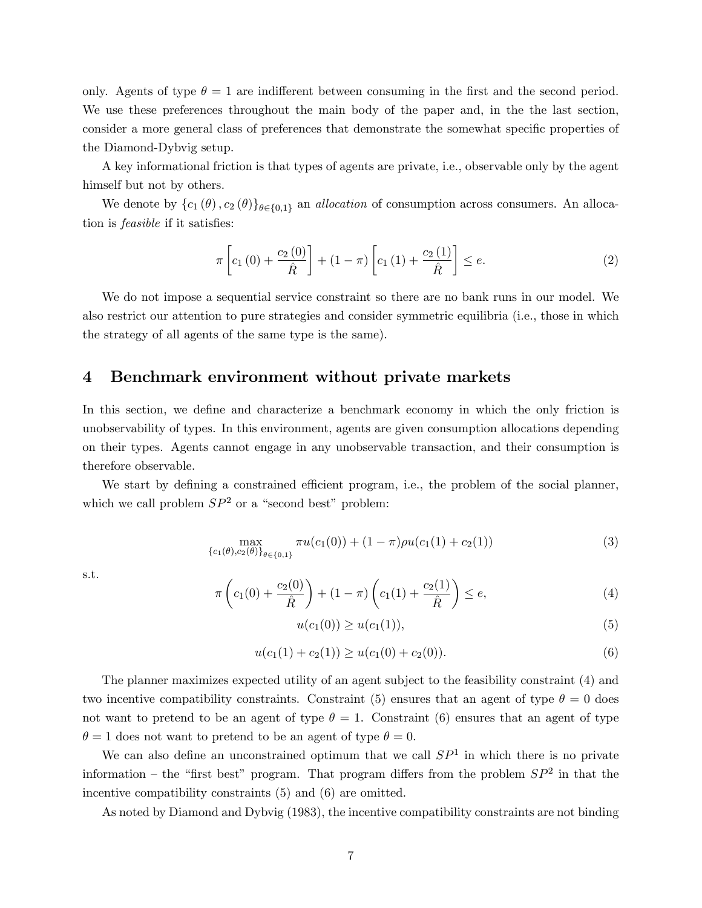only. Agents of type  $\theta = 1$  are indifferent between consuming in the first and the second period. We use these preferences throughout the main body of the paper and, in the the last section, consider a more general class of preferences that demonstrate the somewhat specific properties of the Diamond-Dybvig setup.

A key informational friction is that types of agents are private, i.e., observable only by the agent himself but not by others.

We denote by  $\{c_1(\theta), c_2(\theta)\}_{\theta \in \{0,1\}}$  an *allocation* of consumption across consumers. An allocation is *feasible* if it satisfies:

$$
\pi \left[ c_1(0) + \frac{c_2(0)}{\hat{R}} \right] + (1 - \pi) \left[ c_1(1) + \frac{c_2(1)}{\hat{R}} \right] \le e.
$$
 (2)

We do not impose a sequential service constraint so there are no bank runs in our model. We also restrict our attention to pure strategies and consider symmetric equilibria (i.e., those in which the strategy of all agents of the same type is the same).

## 4 Benchmark environment without private markets

In this section, we define and characterize a benchmark economy in which the only friction is unobservability of types. In this environment, agents are given consumption allocations depending on their types. Agents cannot engage in any unobservable transaction, and their consumption is therefore observable.

We start by defining a constrained efficient program, i.e., the problem of the social planner, which we call problem  $SP<sup>2</sup>$  or a "second best" problem:

$$
\max_{\{c_1(\theta), c_2(\theta)\}_{\theta \in \{0,1\}}} \pi u(c_1(0)) + (1 - \pi)\rho u(c_1(1) + c_2(1))
$$
\n(3)

s.t.

$$
\pi\left(c_1(0) + \frac{c_2(0)}{\hat{R}}\right) + (1 - \pi)\left(c_1(1) + \frac{c_2(1)}{\hat{R}}\right) \le e,\tag{4}
$$

$$
u(c_1(0)) \ge u(c_1(1)), \tag{5}
$$

$$
u(c_1(1) + c_2(1)) \ge u(c_1(0) + c_2(0)).
$$
\n(6)

The planner maximizes expected utility of an agent subject to the feasibility constraint (4) and two incentive compatibility constraints. Constraint (5) ensures that an agent of type  $\theta = 0$  does not want to pretend to be an agent of type  $\theta = 1$ . Constraint (6) ensures that an agent of type  $\theta = 1$  does not want to pretend to be an agent of type  $\theta = 0$ .

We can also define an unconstrained optimum that we call  $SP<sup>1</sup>$  in which there is no private information – the "first best" program. That program differs from the problem  $SP<sup>2</sup>$  in that the incentive compatibility constraints (5) and (6) are omitted.

As noted by Diamond and Dybvig (1983), the incentive compatibility constraints are not binding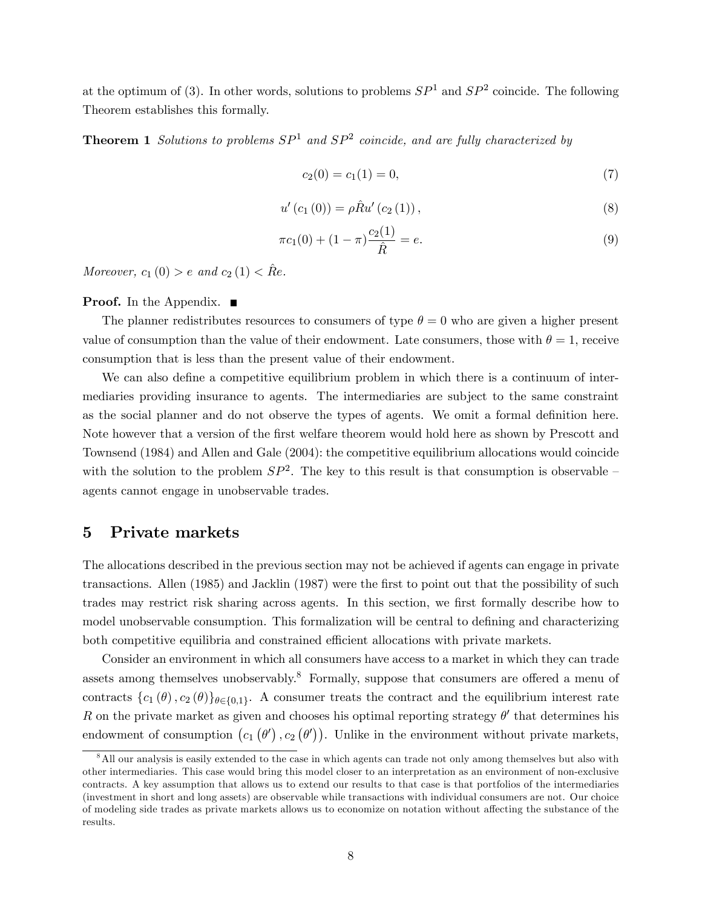at the optimum of (3). In other words, solutions to problems  $SP<sup>1</sup>$  and  $SP<sup>2</sup>$  coincide. The following Theorem establishes this formally.

**Theorem 1** Solutions to problems  $SP<sup>1</sup>$  and  $SP<sup>2</sup>$  coincide, and are fully characterized by

$$
c_2(0) = c_1(1) = 0,\t\t(7)
$$

$$
u'(c_1(0)) = \rho \hat{R} u'(c_2(1)), \qquad (8)
$$

$$
\pi c_1(0) + (1 - \pi) \frac{c_2(1)}{\hat{R}} = e.
$$
\n(9)

Moreover,  $c_1 (0) > e$  and  $c_2 (1) < R e$ .

#### **Proof.** In the Appendix.  $\blacksquare$

The planner redistributes resources to consumers of type  $\theta = 0$  who are given a higher present value of consumption than the value of their endowment. Late consumers, those with  $\theta = 1$ , receive consumption that is less than the present value of their endowment.

We can also define a competitive equilibrium problem in which there is a continuum of intermediaries providing insurance to agents. The intermediaries are subject to the same constraint as the social planner and do not observe the types of agents. We omit a formal definition here. Note however that a version of the first welfare theorem would hold here as shown by Prescott and Townsend (1984) and Allen and Gale (2004): the competitive equilibrium allocations would coincide with the solution to the problem  $SP^2$ . The key to this result is that consumption is observable – agents cannot engage in unobservable trades.

### 5 Private markets

The allocations described in the previous section may not be achieved if agents can engage in private transactions. Allen (1985) and Jacklin (1987) were the first to point out that the possibility of such trades may restrict risk sharing across agents. In this section, we first formally describe how to model unobservable consumption. This formalization will be central to defining and characterizing both competitive equilibria and constrained efficient allocations with private markets.

Consider an environment in which all consumers have access to a market in which they can trade assets among themselves unobservably.<sup>8</sup> Formally, suppose that consumers are offered a menu of contracts  ${c_1(\theta), c_2(\theta)}_{\theta \in \{0,1\}}$ . A consumer treats the contract and the equilibrium interest rate R on the private market as given and chooses his optimal reporting strategy  $\theta'$  that determines his endowment of consumption  $(c_1(\theta'), c_2(\theta'))$ . Unlike in the environment without private markets,

<sup>&</sup>lt;sup>8</sup>All our analysis is easily extended to the case in which agents can trade not only among themselves but also with other intermediaries. This case would bring this model closer to an interpretation as an environment of non-exclusive contracts. A key assumption that allows us to extend our results to that case is that portfolios of the intermediaries (investment in short and long assets) are observable while transactions with individual consumers are not. Our choice of modeling side trades as private markets allows us to economize on notation without a§ecting the substance of the results.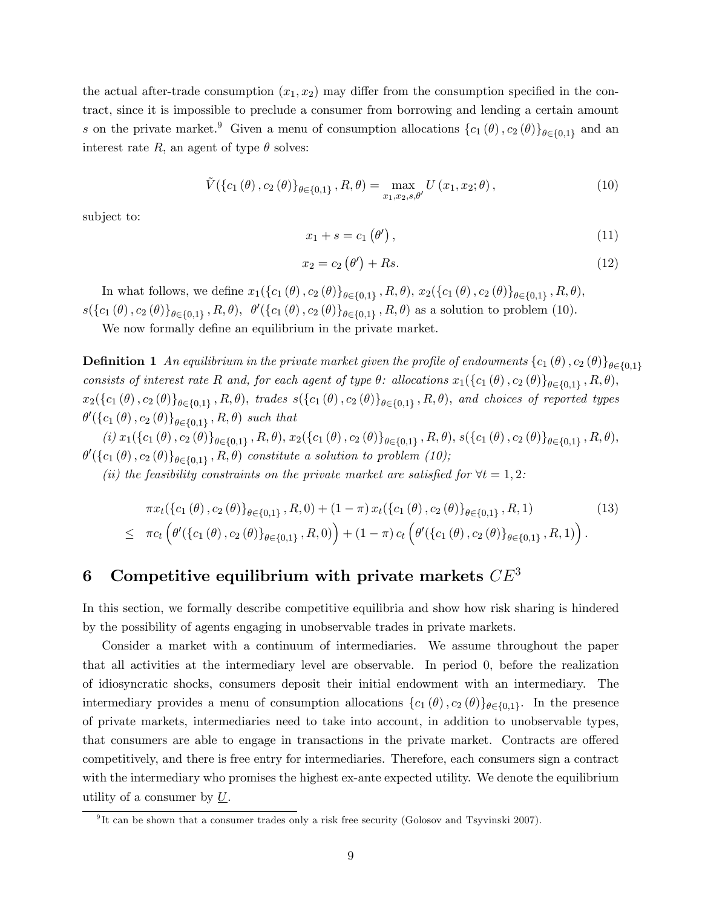the actual after-trade consumption  $(x_1, x_2)$  may differ from the consumption specified in the contract, since it is impossible to preclude a consumer from borrowing and lending a certain amount s on the private market.<sup>9</sup> Given a menu of consumption allocations  $\{c_1(\theta), c_2(\theta)\}_{\theta \in \{0,1\}}$  and an interest rate R, an agent of type  $\theta$  solves:

$$
\tilde{V}(\{c_1(\theta), c_2(\theta)\}_{\theta \in \{0,1\}}, R, \theta) = \max_{x_1, x_2, s, \theta'} U(x_1, x_2; \theta), \qquad (10)
$$

subject to:

$$
x_1 + s = c_1 \left( \theta' \right), \tag{11}
$$

$$
x_2 = c_2 \left(\theta' \right) + Rs. \tag{12}
$$

In what follows, we define  $x_1(\{c_1(\theta), c_2(\theta)\}_{\theta \in \{0,1\}}, R, \theta)$ ,  $x_2(\{c_1(\theta), c_2(\theta)\}_{\theta \in \{0,1\}}, R, \theta)$ ,  $s(\lbrace c_1(\theta), c_2(\theta)\rbrace_{\theta \in \lbrace 0,1 \rbrace}, R, \theta), \ \theta'(\lbrace c_1(\theta), c_2(\theta)\rbrace_{\theta \in \lbrace 0,1 \rbrace}, R, \theta)$  as a solution to problem (10).

We now formally define an equilibrium in the private market.

**Definition 1** An equilibrium in the private market given the profile of endowments  $\{c_1(\theta), c_2(\theta)\}_{\theta \in \{0,1\}}$ consists of interest rate R and, for each agent of type  $\theta$ : allocations  $x_1(\{c_1(\theta), c_2(\theta)\}_{\theta \in \{0,1\}}$ ,  $R, \theta)$ ,  $x_2(\{c_1(\theta),c_2(\theta)\}_{\theta\in\{0,1\}},R,\theta)$ , trades  $s(\{c_1(\theta),c_2(\theta)\}_{\theta\in\{0,1\}},R,\theta)$ , and choices of reported types  $\theta'(\lbrace c_1(\theta),c_2(\theta)\rbrace_{\theta\in\lbrace0,1\rbrace},R,\theta)$  such that

(i)  $x_1(\{c_1(\theta), c_2(\theta)\}_{\theta \in \{0,1\}}, R, \theta), x_2(\{c_1(\theta), c_2(\theta)\}_{\theta \in \{0,1\}}, R, \theta), s(\{c_1(\theta), c_2(\theta)\}_{\theta \in \{0,1\}}, R, \theta),$  $\theta'(\lbrace c_1(\theta),c_2(\theta)\rbrace_{\theta\in\lbrace 0,1\rbrace},R,\theta)$  constitute a solution to problem (10);

(ii) the feasibility constraints on the private market are satisfied for  $\forall t = 1, 2$ :

$$
\pi x_t(\{c_1(\theta), c_2(\theta)\}_{\theta \in \{0,1\}}, R, 0) + (1 - \pi) x_t(\{c_1(\theta), c_2(\theta)\}_{\theta \in \{0,1\}}, R, 1) \tag{13}
$$
\n
$$
\leq \pi c_t \left( \theta'(\{c_1(\theta), c_2(\theta)\}_{\theta \in \{0,1\}}, R, 0) \right) + (1 - \pi) c_t \left( \theta'(\{c_1(\theta), c_2(\theta)\}_{\theta \in \{0,1\}}, R, 1) \right). \tag{13}
$$

## 6 Competitive equilibrium with private markets  $CE^3$

In this section, we formally describe competitive equilibria and show how risk sharing is hindered by the possibility of agents engaging in unobservable trades in private markets.

Consider a market with a continuum of intermediaries. We assume throughout the paper that all activities at the intermediary level are observable. In period 0, before the realization of idiosyncratic shocks, consumers deposit their initial endowment with an intermediary. The intermediary provides a menu of consumption allocations  $\{c_1(\theta), c_2(\theta)\}_{\theta \in \{0,1\}}$ . In the presence of private markets, intermediaries need to take into account, in addition to unobservable types, that consumers are able to engage in transactions in the private market. Contracts are offered competitively, and there is free entry for intermediaries. Therefore, each consumers sign a contract with the intermediary who promises the highest ex-ante expected utility. We denote the equilibrium utility of a consumer by  $U$ .

<sup>&</sup>lt;sup>9</sup>It can be shown that a consumer trades only a risk free security (Golosov and Tsyvinski 2007).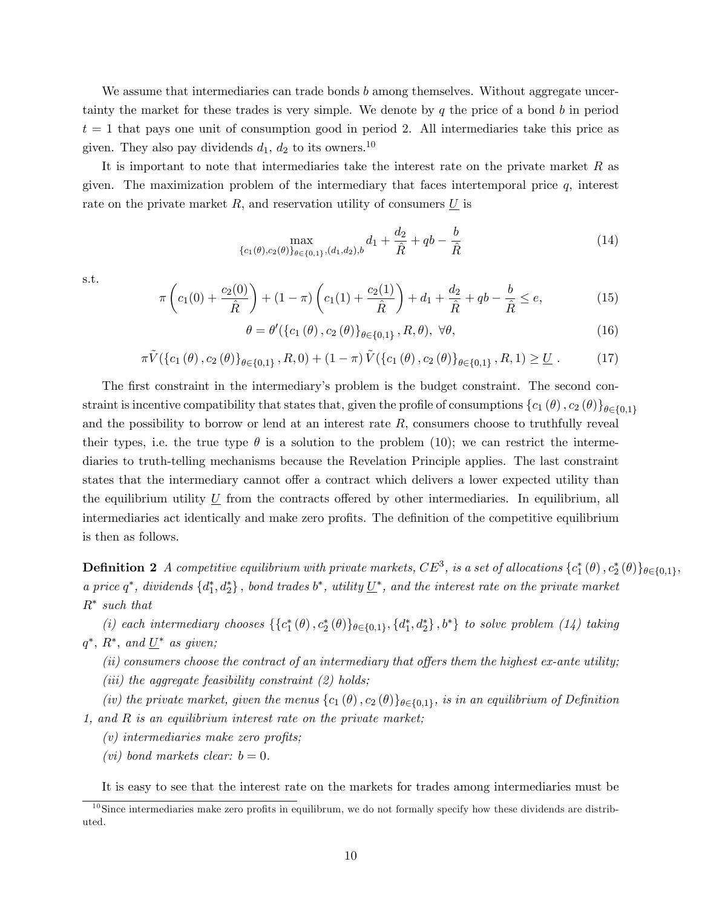We assume that intermediaries can trade bonds b among themselves. Without aggregate uncertainty the market for these trades is very simple. We denote by  $q$  the price of a bond b in period  $t = 1$  that pays one unit of consumption good in period 2. All intermediaries take this price as given. They also pay dividends  $d_1$ ,  $d_2$  to its owners.<sup>10</sup>

It is important to note that intermediaries take the interest rate on the private market  $R$  as given. The maximization problem of the intermediary that faces intertemporal price  $q$ , interest rate on the private market  $R$ , and reservation utility of consumers  $U$  is

$$
\max_{\{c_1(\theta), c_2(\theta)\}_{\theta \in \{0,1\}}, (d_1, d_2), b} d_1 + \frac{d_2}{\hat{R}} + qb - \frac{b}{\hat{R}} \tag{14}
$$

s.t.

$$
\pi \left( c_1(0) + \frac{c_2(0)}{\hat{R}} \right) + (1 - \pi) \left( c_1(1) + \frac{c_2(1)}{\hat{R}} \right) + d_1 + \frac{d_2}{\hat{R}} + qb - \frac{b}{\hat{R}} \le e,
$$
\n(15)

$$
\theta = \theta'(\{c_1(\theta), c_2(\theta)\}_{\theta \in \{0,1\}}, R, \theta), \forall \theta,
$$
\n(16)

$$
\pi \tilde{V}(\{c_1(\theta), c_2(\theta)\}_{\theta \in \{0,1\}}, R, 0) + (1 - \pi) \tilde{V}(\{c_1(\theta), c_2(\theta)\}_{\theta \in \{0,1\}}, R, 1) \ge \underline{U}.
$$
 (17)

The first constraint in the intermediary's problem is the budget constraint. The second constraint is incentive compatibility that states that, given the profile of consumptions  $\{c_1(\theta), c_2(\theta)\}_{\theta \in \{0,1\}}$ and the possibility to borrow or lend at an interest rate  $R$ , consumers choose to truthfully reveal their types, i.e. the true type  $\theta$  is a solution to the problem (10); we can restrict the intermediaries to truth-telling mechanisms because the Revelation Principle applies. The last constraint states that the intermediary cannot offer a contract which delivers a lower expected utility than the equilibrium utility  $U$  from the contracts offered by other intermediaries. In equilibrium, all intermediaries act identically and make zero profits. The definition of the competitive equilibrium is then as follows.

**Definition 2** A competitive equilibrium with private markets,  $CE^3$ , is a set of allocations  $\{c_1^*(\theta), c_2^*(\theta)\}_{\theta \in \{0,1\}}$ , a price  $q^*$ , dividends  $\{d_1^*, d_2^*\}$ , bond trades  $b^*$ , utility  $\underline{U}^*$ , and the interest rate on the private market R such that

(i) each intermediary chooses  $\{\{c_1^*(\theta), c_2^*(\theta)\}_{\theta \in \{0,1\}}, \{d_1^*, d_2^*\}, b^*\}$  to solve problem (14) taking  $q^*, R^*,$  and  $\underline{U}^*$  as given;

 $(ii)$  consumers choose the contract of an intermediary that offers them the highest ex-ante utility;

(iii) the aggregate feasibility constraint  $(2)$  holds;

(iv) the private market, given the menus  $\{c_1(\theta), c_2(\theta)\}_{\theta \in \{0,1\}}$ , is in an equilibrium of Definition 1, and  $R$  is an equilibrium interest rate on the private market;

 $(v)$  intermediaries make zero profits;

(*vi*) bond markets clear:  $b = 0$ .

It is easy to see that the interest rate on the markets for trades among intermediaries must be

 $10$ Since intermediaries make zero profits in equilibrum, we do not formally specify how these dividends are distributed.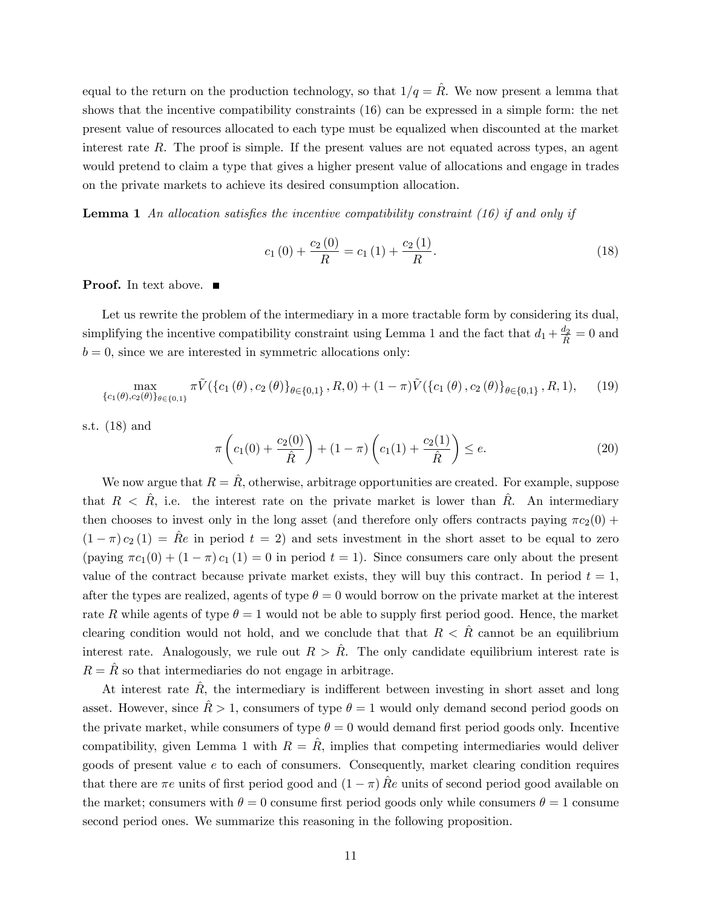equal to the return on the production technology, so that  $1/q = R$ . We now present a lemma that shows that the incentive compatibility constraints (16) can be expressed in a simple form: the net present value of resources allocated to each type must be equalized when discounted at the market interest rate R. The proof is simple. If the present values are not equated across types, an agent would pretend to claim a type that gives a higher present value of allocations and engage in trades on the private markets to achieve its desired consumption allocation.

**Lemma 1** An allocation satisfies the incentive compatibility constraint (16) if and only if

$$
c_{1}(0) + \frac{c_{2}(0)}{R} = c_{1}(1) + \frac{c_{2}(1)}{R}.
$$
\n(18)

**Proof.** In text above. ■

Let us rewrite the problem of the intermediary in a more tractable form by considering its dual, simplifying the incentive compatibility constraint using Lemma 1 and the fact that  $d_1 + \frac{d_2}{\hat{R}} = 0$  and  $b = 0$ , since we are interested in symmetric allocations only:

$$
\max_{\{c_1(\theta), c_2(\theta)\}\rho \in \{0,1\}} \pi \tilde{V}(\{c_1(\theta), c_2(\theta)\}\rho \in \{0,1\}, R, 0) + (1-\pi) \tilde{V}(\{c_1(\theta), c_2(\theta)\}\rho \in \{0,1\}, R, 1), \quad (19)
$$

s.t. (18) and

$$
\pi \left( c_1(0) + \frac{c_2(0)}{\hat{R}} \right) + (1 - \pi) \left( c_1(1) + \frac{c_2(1)}{\hat{R}} \right) \le e.
$$
\n(20)

We now argue that  $R = \hat{R}$ , otherwise, arbitrage opportunities are created. For example, suppose that  $R \, \langle \, \hat{R}, \, i.e. \,$  the interest rate on the private market is lower than  $\hat{R}$ . An intermediary then chooses to invest only in the long asset (and therefore only offers contracts paying  $\pi c_2(0)$  +  $(1 - \pi) c_2 (1) = \hat{R}e$  in period  $t = 2$ ) and sets investment in the short asset to be equal to zero (paying  $\pi c_1(0) + (1 - \pi) c_1(1) = 0$  in period  $t = 1$ ). Since consumers care only about the present value of the contract because private market exists, they will buy this contract. In period  $t = 1$ , after the types are realized, agents of type  $\theta = 0$  would borrow on the private market at the interest rate R while agents of type  $\theta = 1$  would not be able to supply first period good. Hence, the market clearing condition would not hold, and we conclude that that  $R < R$  cannot be an equilibrium interest rate. Analogously, we rule out  $R > R$ . The only candidate equilibrium interest rate is  $R = R$  so that intermediaries do not engage in arbitrage.

At interest rate  $\hat{R}$ , the intermediary is indifferent between investing in short asset and long asset. However, since  $R > 1$ , consumers of type  $\theta = 1$  would only demand second period goods on the private market, while consumers of type  $\theta = 0$  would demand first period goods only. Incentive compatibility, given Lemma 1 with  $R = R$ , implies that competing intermediaries would deliver goods of present value  $e$  to each of consumers. Consequently, market clearing condition requires that there are  $\pi e$  units of first period good and  $(1 - \pi)$  Re units of second period good available on the market; consumers with  $\theta = 0$  consume first period goods only while consumers  $\theta = 1$  consume second period ones. We summarize this reasoning in the following proposition.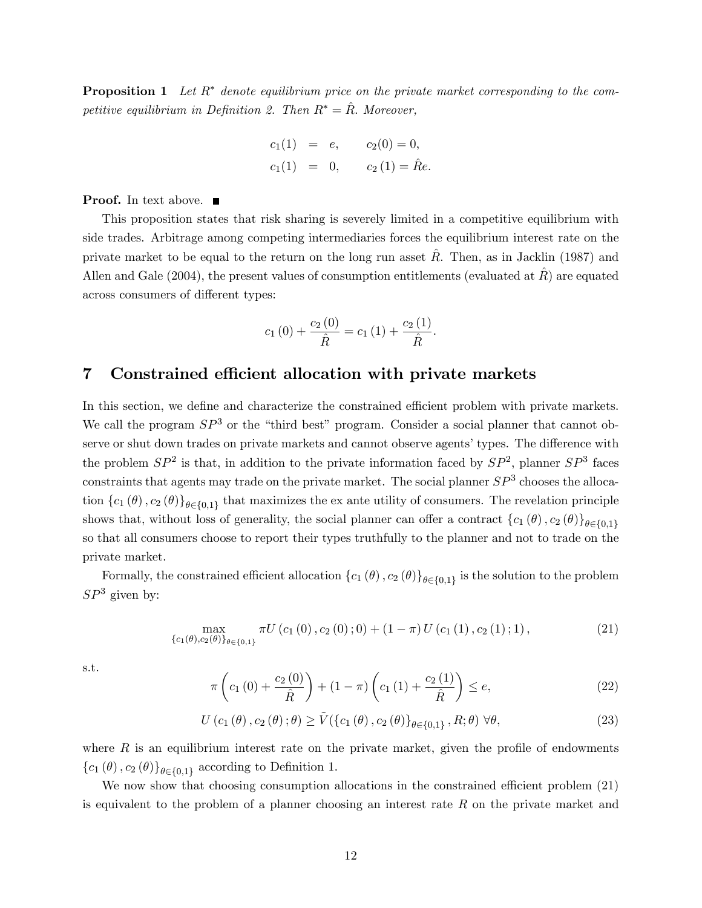**Proposition 1** Let  $R^*$  denote equilibrium price on the private market corresponding to the competitive equilibrium in Definition 2. Then  $R^* = \hat{R}$ . Moreover,

$$
c_1(1) = e,
$$
  $c_2(0) = 0,$   
 $c_1(1) = 0,$   $c_2(1) = \hat{R}e.$ 

**Proof.** In text above.  $\blacksquare$ 

This proposition states that risk sharing is severely limited in a competitive equilibrium with side trades. Arbitrage among competing intermediaries forces the equilibrium interest rate on the private market to be equal to the return on the long run asset  $R$ . Then, as in Jacklin (1987) and Allen and Gale  $(2004)$ , the present values of consumption entitlements (evaluated at R) are equated across consumers of different types:

$$
c_1(0) + \frac{c_2(0)}{\hat{R}} = c_1(1) + \frac{c_2(1)}{\hat{R}}.
$$

## 7 Constrained efficient allocation with private markets

In this section, we define and characterize the constrained efficient problem with private markets. We call the program  $SP<sup>3</sup>$  or the "third best" program. Consider a social planner that cannot observe or shut down trades on private markets and cannot observe agents' types. The difference with the problem  $SP<sup>2</sup>$  is that, in addition to the private information faced by  $SP<sup>2</sup>$ , planner  $SP<sup>3</sup>$  faces constraints that agents may trade on the private market. The social planner  $SP^3$  chooses the allocation  ${c_1(\theta), c_2(\theta)}_{\theta \in \{0,1\}}$  that maximizes the ex ante utility of consumers. The revelation principle shows that, without loss of generality, the social planner can offer a contract  ${c_1(\theta), c_2(\theta)}_{\theta \in \{0,1\}}$ so that all consumers choose to report their types truthfully to the planner and not to trade on the private market.

Formally, the constrained efficient allocation  $\{c_1(\theta), c_2(\theta)\}_{\theta \in \{0,1\}}$  is the solution to the problem  $SP<sup>3</sup>$  given by:

$$
\max_{\{c_1(\theta), c_2(\theta)\}_{\theta \in \{0,1\}}} \pi U(c_1(0), c_2(0); 0) + (1 - \pi) U(c_1(1), c_2(1); 1), \tag{21}
$$

s.t.

$$
\pi\left(c_1(0) + \frac{c_2(0)}{\hat{R}}\right) + (1 - \pi)\left(c_1(1) + \frac{c_2(1)}{\hat{R}}\right) \le e,\tag{22}
$$

$$
U\left(c_{1}\left(\theta\right),c_{2}\left(\theta\right);\theta\right) \geq \tilde{V}\left(\left\{c_{1}\left(\theta\right),c_{2}\left(\theta\right)\right\}_{\theta \in \left\{0,1\right\}},R;\theta\right) \,\forall\theta,\tag{23}
$$

where  $R$  is an equilibrium interest rate on the private market, given the profile of endowments  ${c_1(\theta), c_2(\theta)}_{\theta \in \{0,1\}}$  according to Definition 1.

We now show that choosing consumption allocations in the constrained efficient problem  $(21)$ is equivalent to the problem of a planner choosing an interest rate  $R$  on the private market and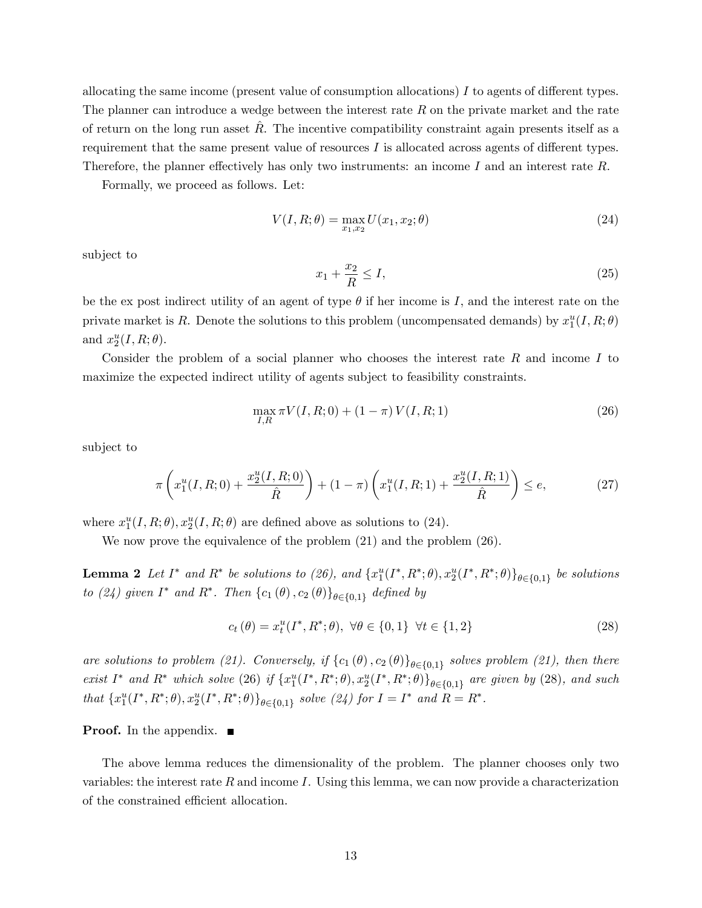allocating the same income (present value of consumption allocations)  $I$  to agents of different types. The planner can introduce a wedge between the interest rate  $R$  on the private market and the rate of return on the long run asset  $R$ . The incentive compatibility constraint again presents itself as a requirement that the same present value of resources  $I$  is allocated across agents of different types. Therefore, the planner effectively has only two instruments: an income I and an interest rate  $R$ .

Formally, we proceed as follows. Let:

$$
V(I, R; \theta) = \max_{x_1, x_2} U(x_1, x_2; \theta)
$$
\n(24)

subject to

$$
x_1 + \frac{x_2}{R} \le I,\tag{25}
$$

be the ex post indirect utility of an agent of type  $\theta$  if her income is I, and the interest rate on the private market is R. Denote the solutions to this problem (uncompensated demands) by  $x_1^u(I, R; \theta)$ and  $x_2^u(I, R; \theta)$ .

Consider the problem of a social planner who chooses the interest rate  $R$  and income  $I$  to maximize the expected indirect utility of agents subject to feasibility constraints.

$$
\max_{I,R} \pi V(I, R; 0) + (1 - \pi) V(I, R; 1)
$$
\n(26)

subject to

$$
\pi\left(x_1^u(I,R;0) + \frac{x_2^u(I,R;0)}{\hat{R}}\right) + (1-\pi)\left(x_1^u(I,R;1) + \frac{x_2^u(I,R;1)}{\hat{R}}\right) \le e,\tag{27}
$$

where  $x_1^u(I, R; \theta), x_2^u(I, R; \theta)$  are defined above as solutions to (24).

We now prove the equivalence of the problem  $(21)$  and the problem  $(26)$ .

**Lemma 2** Let  $I^*$  and  $R^*$  be solutions to (26), and  $\{x_1^u(I^*, R^*; \theta), x_2^u(I^*, R^*; \theta)\}_{\theta \in \{0,1\}}$  be solutions to (24) given  $I^*$  and  $R^*$ . Then  $\{c_1(\theta), c_2(\theta)\}_{\theta \in \{0,1\}}$  defined by

$$
c_t(\theta) = x_t^u(I^*, R^*; \theta), \ \forall \theta \in \{0, 1\} \ \forall t \in \{1, 2\}
$$
 (28)

are solutions to problem (21). Conversely, if  $\{c_1(\theta), c_2(\theta)\}_{\theta \in \{0,1\}}$  solves problem (21), then there exist  $I^*$  and  $R^*$  which solve (26) if  $\{x_1^u(I^*, R^*; \theta), x_2^u(I^*, R^*; \theta)\}_{\theta \in \{0,1\}}$  are given by (28), and such that  $\{x_1^u(I^*, R^*; \theta), x_2^u(I^*, R^*; \theta)\}_{\theta \in \{0,1\}}$  solve (24) for  $I = I^*$  and  $R = R^*$ .

**Proof.** In the appendix.  $\blacksquare$ 

The above lemma reduces the dimensionality of the problem. The planner chooses only two variables: the interest rate R and income I. Using this lemma, we can now provide a characterization of the constrained efficient allocation.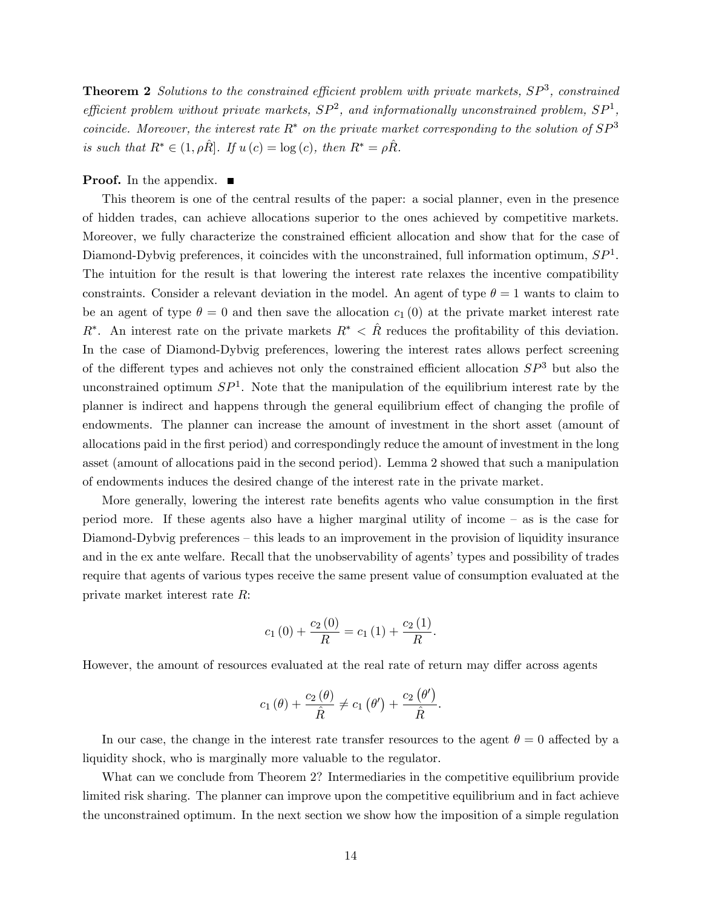**Theorem 2** Solutions to the constrained efficient problem with private markets,  $SP<sup>3</sup>$ , constrained efficient problem without private markets,  $SP^2$ , and informationally unconstrained problem,  $SP^1$ , coincide. Moreover, the interest rate  $R^*$  on the private market corresponding to the solution of  $SP^3$ is such that  $R^* \in (1, \rho R]$ . If  $u (c) = \log (c)$ , then  $R^* = \rho R$ .

#### **Proof.** In the appendix.  $\blacksquare$

This theorem is one of the central results of the paper: a social planner, even in the presence of hidden trades, can achieve allocations superior to the ones achieved by competitive markets. Moreover, we fully characterize the constrained efficient allocation and show that for the case of Diamond-Dybvig preferences, it coincides with the unconstrained, full information optimum,  $SP<sup>1</sup>$ . The intuition for the result is that lowering the interest rate relaxes the incentive compatibility constraints. Consider a relevant deviation in the model. An agent of type  $\theta = 1$  wants to claim to be an agent of type  $\theta = 0$  and then save the allocation  $c_1(0)$  at the private market interest rate  $R^*$ . An interest rate on the private markets  $R^* < \hat{R}$  reduces the profitability of this deviation. In the case of Diamond-Dybvig preferences, lowering the interest rates allows perfect screening of the different types and achieves not only the constrained efficient allocation  $SP<sup>3</sup>$  but also the unconstrained optimum  $SP<sup>1</sup>$ . Note that the manipulation of the equilibrium interest rate by the planner is indirect and happens through the general equilibrium effect of changing the profile of endowments. The planner can increase the amount of investment in the short asset (amount of allocations paid in the first period) and correspondingly reduce the amount of investment in the long asset (amount of allocations paid in the second period). Lemma 2 showed that such a manipulation of endowments induces the desired change of the interest rate in the private market.

More generally, lowering the interest rate benefits agents who value consumption in the first period more. If these agents also have a higher marginal utility of income  $-$  as is the case for Diamond-Dybvig preferences – this leads to an improvement in the provision of liquidity insurance and in the ex ante welfare. Recall that the unobservability of agents' types and possibility of trades require that agents of various types receive the same present value of consumption evaluated at the private market interest rate R:

$$
c_1(0) + \frac{c_2(0)}{R} = c_1(1) + \frac{c_2(1)}{R}.
$$

However, the amount of resources evaluated at the real rate of return may differ across agents

$$
c_1(\theta) + \frac{c_2(\theta)}{\hat{R}} \neq c_1(\theta') + \frac{c_2(\theta')}{\hat{R}}.
$$

In our case, the change in the interest rate transfer resources to the agent  $\theta = 0$  affected by a liquidity shock, who is marginally more valuable to the regulator.

What can we conclude from Theorem 2? Intermediaries in the competitive equilibrium provide limited risk sharing. The planner can improve upon the competitive equilibrium and in fact achieve the unconstrained optimum. In the next section we show how the imposition of a simple regulation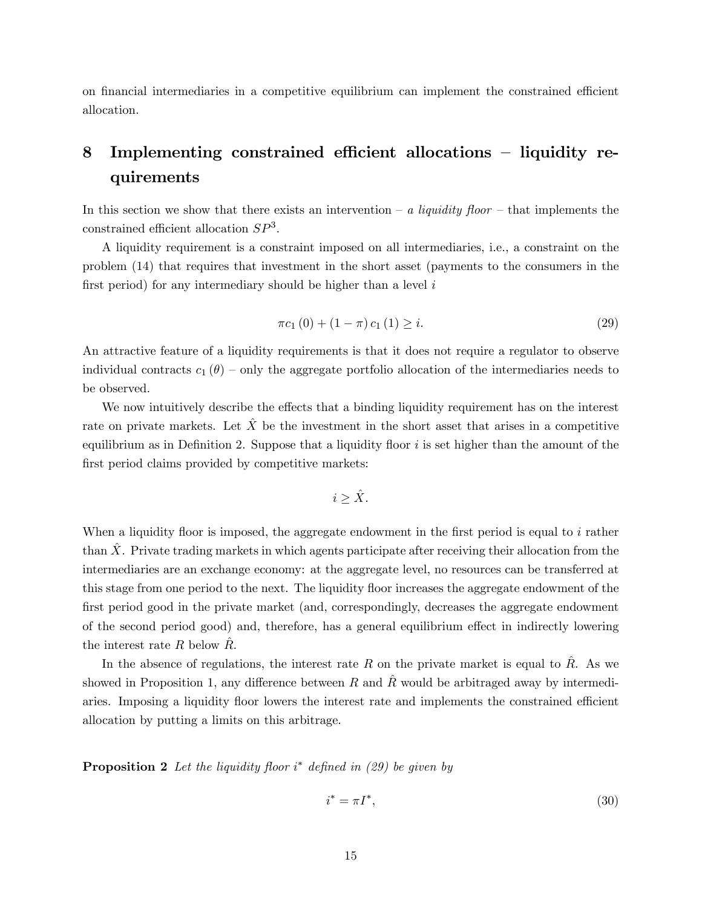on financial intermediaries in a competitive equilibrium can implement the constrained efficient allocation.

## 8 Implementing constrained efficient allocations  $-$  liquidity requirements

In this section we show that there exists an intervention – a liquidity floor – that implements the constrained efficient allocation  $SP<sup>3</sup>$ .

A liquidity requirement is a constraint imposed on all intermediaries, i.e., a constraint on the problem (14) that requires that investment in the short asset (payments to the consumers in the first period) for any intermediary should be higher than a level  $i$ 

$$
\pi c_1(0) + (1 - \pi) c_1(1) \geq i. \tag{29}
$$

An attractive feature of a liquidity requirements is that it does not require a regulator to observe individual contracts  $c_1(\theta)$  – only the aggregate portfolio allocation of the intermediaries needs to be observed.

We now intuitively describe the effects that a binding liquidity requirement has on the interest rate on private markets. Let  $\ddot{X}$  be the investment in the short asset that arises in a competitive equilibrium as in Definition 2. Suppose that a liquidity floor  $i$  is set higher than the amount of the first period claims provided by competitive markets:

$$
i \geq \hat{X}.
$$

When a liquidity floor is imposed, the aggregate endowment in the first period is equal to  $i$  rather than  $X$ . Private trading markets in which agents participate after receiving their allocation from the intermediaries are an exchange economy: at the aggregate level, no resources can be transferred at this stage from one period to the next. The liquidity floor increases the aggregate endowment of the first period good in the private market (and, correspondingly, decreases the aggregate endowment of the second period good) and, therefore, has a general equilibrium effect in indirectly lowering the interest rate  $R$  below  $\overline{R}$ .

In the absence of regulations, the interest rate R on the private market is equal to  $\hat{R}$ . As we showed in Proposition 1, any difference between R and R would be arbitraged away by intermediaries. Imposing a liquidity floor lowers the interest rate and implements the constrained efficient allocation by putting a limits on this arbitrage.

**Proposition 2** Let the liquidity floor  $i^*$  defined in (29) be given by

$$
i^* = \pi I^*,\tag{30}
$$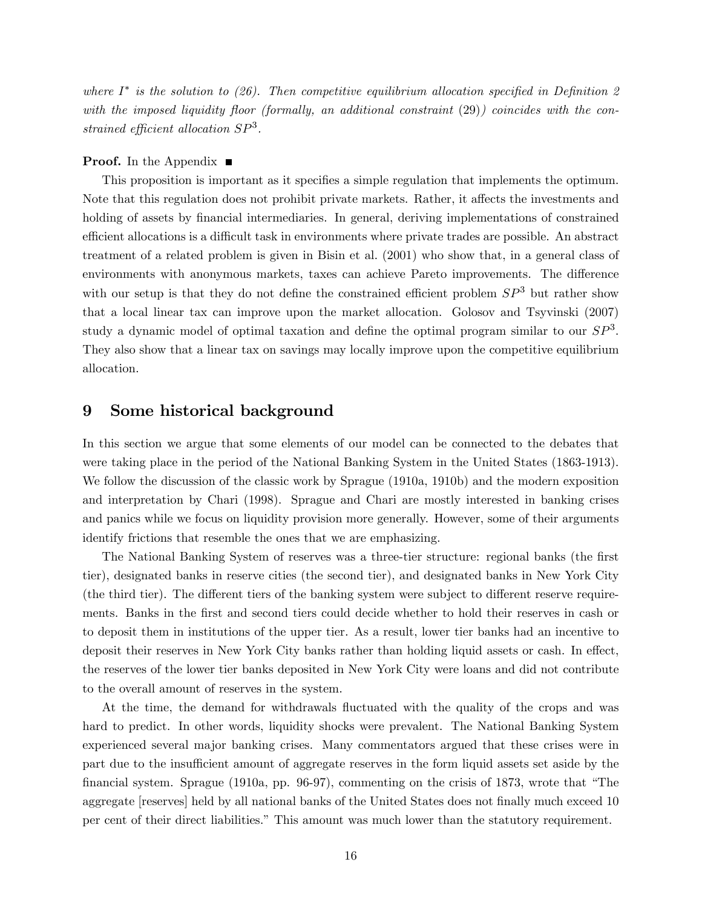where  $I^*$  is the solution to (26). Then competitive equilibrium allocation specified in Definition 2 with the imposed liquidity floor (formally, an additional constraint  $(29)$ ) coincides with the constrained efficient allocation  $SP<sup>3</sup>$ .

#### **Proof.** In the Appendix  $\blacksquare$

This proposition is important as it specifies a simple regulation that implements the optimum. Note that this regulation does not prohibit private markets. Rather, it affects the investments and holding of assets by financial intermediaries. In general, deriving implementations of constrained efficient allocations is a difficult task in environments where private trades are possible. An abstract treatment of a related problem is given in Bisin et al. (2001) who show that, in a general class of environments with anonymous markets, taxes can achieve Pareto improvements. The difference with our setup is that they do not define the constrained efficient problem  $SP^3$  but rather show that a local linear tax can improve upon the market allocation. Golosov and Tsyvinski (2007) study a dynamic model of optimal taxation and define the optimal program similar to our  $SP^3$ . They also show that a linear tax on savings may locally improve upon the competitive equilibrium allocation.

### 9 Some historical background

In this section we argue that some elements of our model can be connected to the debates that were taking place in the period of the National Banking System in the United States (1863-1913). We follow the discussion of the classic work by Sprague (1910a, 1910b) and the modern exposition and interpretation by Chari (1998). Sprague and Chari are mostly interested in banking crises and panics while we focus on liquidity provision more generally. However, some of their arguments identify frictions that resemble the ones that we are emphasizing.

The National Banking System of reserves was a three-tier structure: regional banks (the first tier), designated banks in reserve cities (the second tier), and designated banks in New York City (the third tier). The different tiers of the banking system were subject to different reserve requirements. Banks in the first and second tiers could decide whether to hold their reserves in cash or to deposit them in institutions of the upper tier. As a result, lower tier banks had an incentive to deposit their reserves in New York City banks rather than holding liquid assets or cash. In effect, the reserves of the lower tier banks deposited in New York City were loans and did not contribute to the overall amount of reserves in the system.

At the time, the demand for withdrawals fluctuated with the quality of the crops and was hard to predict. In other words, liquidity shocks were prevalent. The National Banking System experienced several major banking crises. Many commentators argued that these crises were in part due to the insufficient amount of aggregate reserves in the form liquid assets set aside by the financial system. Sprague (1910a, pp. 96-97), commenting on the crisis of 1873, wrote that "The aggregate [reserves] held by all national banks of the United States does not finally much exceed 10 per cent of their direct liabilities." This amount was much lower than the statutory requirement.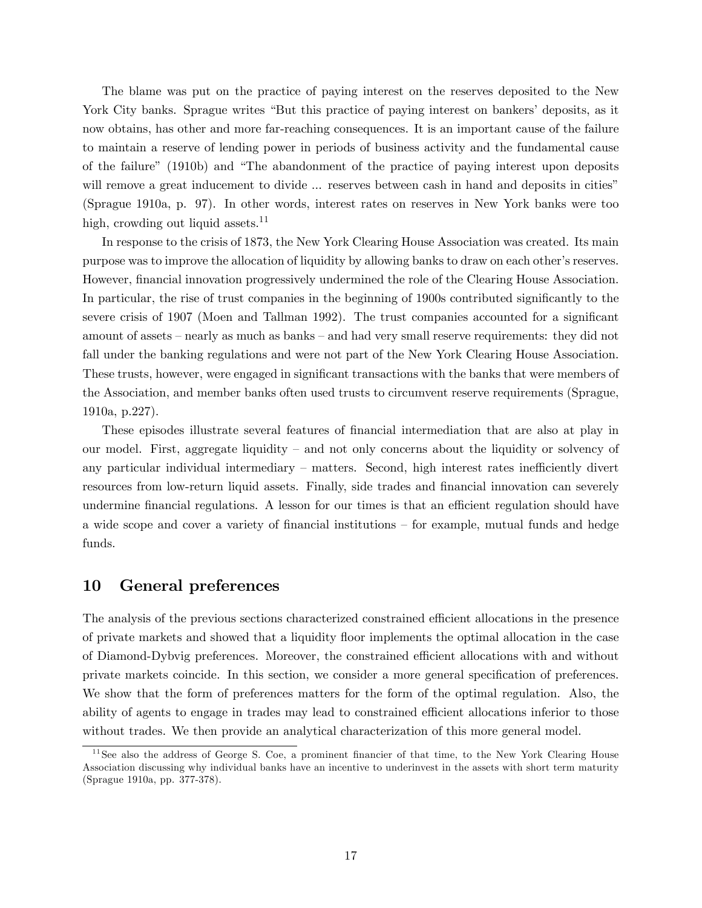The blame was put on the practice of paying interest on the reserves deposited to the New York City banks. Sprague writes "But this practice of paying interest on bankers' deposits, as it now obtains, has other and more far-reaching consequences. It is an important cause of the failure to maintain a reserve of lending power in periods of business activity and the fundamental cause of the failure"  $(1910b)$  and "The abandonment of the practice of paying interest upon deposits will remove a great inducement to divide ... reserves between cash in hand and deposits in cities" (Sprague 1910a, p. 97). In other words, interest rates on reserves in New York banks were too high, crowding out liquid assets. $^{11}$ 

In response to the crisis of 1873, the New York Clearing House Association was created. Its main purpose was to improve the allocation of liquidity by allowing banks to draw on each other's reserves. However, financial innovation progressively undermined the role of the Clearing House Association. In particular, the rise of trust companies in the beginning of 1900s contributed significantly to the severe crisis of 1907 (Moen and Tallman 1992). The trust companies accounted for a significant amount of assets – nearly as much as banks – and had very small reserve requirements: they did not fall under the banking regulations and were not part of the New York Clearing House Association. These trusts, however, were engaged in significant transactions with the banks that were members of the Association, and member banks often used trusts to circumvent reserve requirements (Sprague, 1910a, p.227).

These episodes illustrate several features of financial intermediation that are also at play in our model. First, aggregate liquidity  $-$  and not only concerns about the liquidity or solvency of any particular individual intermediary – matters. Second, high interest rates inefficiently divert resources from low-return liquid assets. Finally, side trades and financial innovation can severely undermine financial regulations. A lesson for our times is that an efficient regulation should have a wide scope and cover a variety of financial institutions  $\sim$  for example, mutual funds and hedge funds.

## 10 General preferences

The analysis of the previous sections characterized constrained efficient allocations in the presence of private markets and showed that a liquidity áoor implements the optimal allocation in the case of Diamond-Dybvig preferences. Moreover, the constrained efficient allocations with and without private markets coincide. In this section, we consider a more general specification of preferences. We show that the form of preferences matters for the form of the optimal regulation. Also, the ability of agents to engage in trades may lead to constrained efficient allocations inferior to those without trades. We then provide an analytical characterization of this more general model.

 $11$ See also the address of George S. Coe, a prominent financier of that time, to the New York Clearing House Association discussing why individual banks have an incentive to underinvest in the assets with short term maturity (Sprague 1910a, pp. 377-378).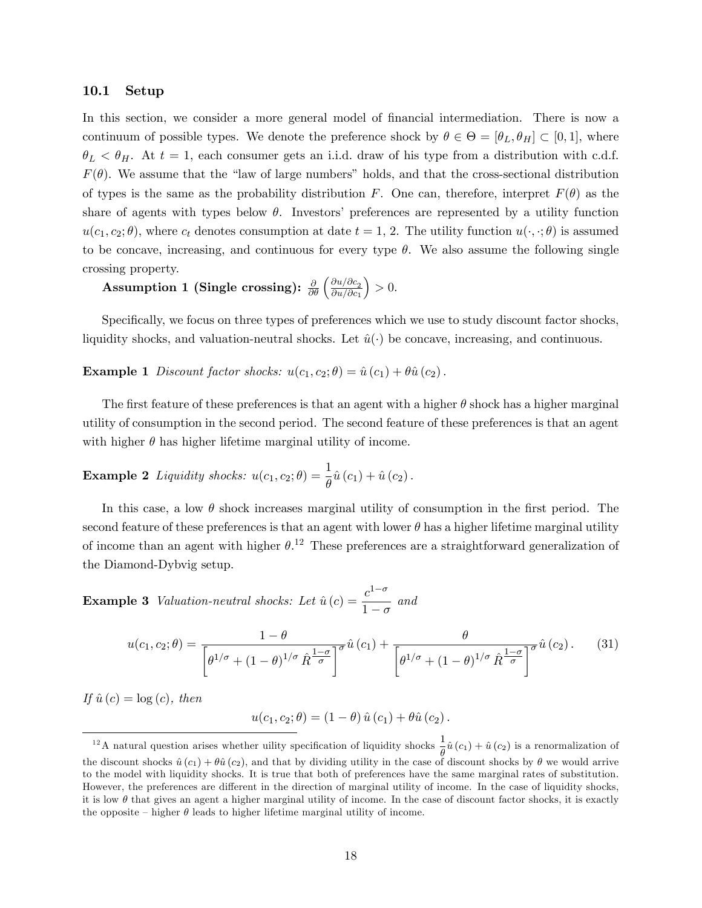#### 10.1 Setup

In this section, we consider a more general model of financial intermediation. There is now a continuum of possible types. We denote the preference shock by  $\theta \in \Theta = [\theta_L, \theta_H] \subset [0, 1]$ , where  $\theta_L < \theta_H$ . At  $t = 1$ , each consumer gets an i.i.d. draw of his type from a distribution with c.d.f.  $F(\theta)$ . We assume that the "law of large numbers" holds, and that the cross-sectional distribution of types is the same as the probability distribution F. One can, therefore, interpret  $F(\theta)$  as the share of agents with types below  $\theta$ . Investors' preferences are represented by a utility function  $u(c_1, c_2; \theta)$ , where  $c_t$  denotes consumption at date  $t = 1, 2$ . The utility function  $u(\cdot, \cdot; \theta)$  is assumed to be concave, increasing, and continuous for every type  $\theta$ . We also assume the following single crossing property.

Assumption 1 (Single crossing):  $\frac{\partial}{\partial \theta} \left( \frac{\partial u/\partial c_2}{\partial u/\partial c_1} \right)$  $\partial u/\partial c_1$  $\big) > 0.$ 

Specifically, we focus on three types of preferences which we use to study discount factor shocks, liquidity shocks, and valuation-neutral shocks. Let  $\hat{u}(\cdot)$  be concave, increasing, and continuous.

**Example 1** Discount factor shocks:  $u(c_1, c_2; \theta) = \hat{u}(c_1) + \theta \hat{u}(c_2)$ .

The first feature of these preferences is that an agent with a higher  $\theta$  shock has a higher marginal utility of consumption in the second period. The second feature of these preferences is that an agent with higher  $\theta$  has higher lifetime marginal utility of income.

**Example 2** *Liquidity shocks:* 
$$
u(c_1, c_2; \theta) = \frac{1}{\theta} \hat{u}(c_1) + \hat{u}(c_2)
$$
.

In this case, a low  $\theta$  shock increases marginal utility of consumption in the first period. The second feature of these preferences is that an agent with lower  $\theta$  has a higher lifetime marginal utility of income than an agent with higher  $\theta$ <sup>12</sup>. These preferences are a straightforward generalization of the Diamond-Dybvig setup.

**Example 3** Valuation-neutral shocks: Let  $\hat{u}(c) = \frac{c^{1-\sigma}}{1-\sigma^2}$  $\frac{0}{1-\sigma}$  and

$$
u(c_1, c_2; \theta) = \frac{1 - \theta}{\left[\theta^{1/\sigma} + (1 - \theta)^{1/\sigma} \hat{R}^{\frac{1 - \sigma}{\sigma}}\right]^{\sigma} \hat{u}(c_1) + \frac{\theta}{\left[\theta^{1/\sigma} + (1 - \theta)^{1/\sigma} \hat{R}^{\frac{1 - \sigma}{\sigma}}\right]^{\sigma} \hat{u}(c_2).}
$$
(31)

If  $\hat{u}(c) = \log (c)$ , then

$$
u(c_1, c_2; \theta) = (1 - \theta) \hat{u}(c_1) + \theta \hat{u}(c_2).
$$

<sup>&</sup>lt;sup>12</sup>A natural question arises whether uility specification of liquidity shocks  $\frac{1}{\theta}\hat{u}(c_1) + \hat{u}(c_2)$  is a renormalization of the discount shocks  $\hat{u}(c_1) + \theta \hat{u}(c_2)$ , and that by dividing utility in the case of discount shocks by  $\theta$  we would arrive to the model with liquidity shocks. It is true that both of preferences have the same marginal rates of substitution. However, the preferences are different in the direction of marginal utility of income. In the case of liquidity shocks, it is low  $\theta$  that gives an agent a higher marginal utility of income. In the case of discount factor shocks, it is exactly the opposite – higher  $\theta$  leads to higher lifetime marginal utility of income.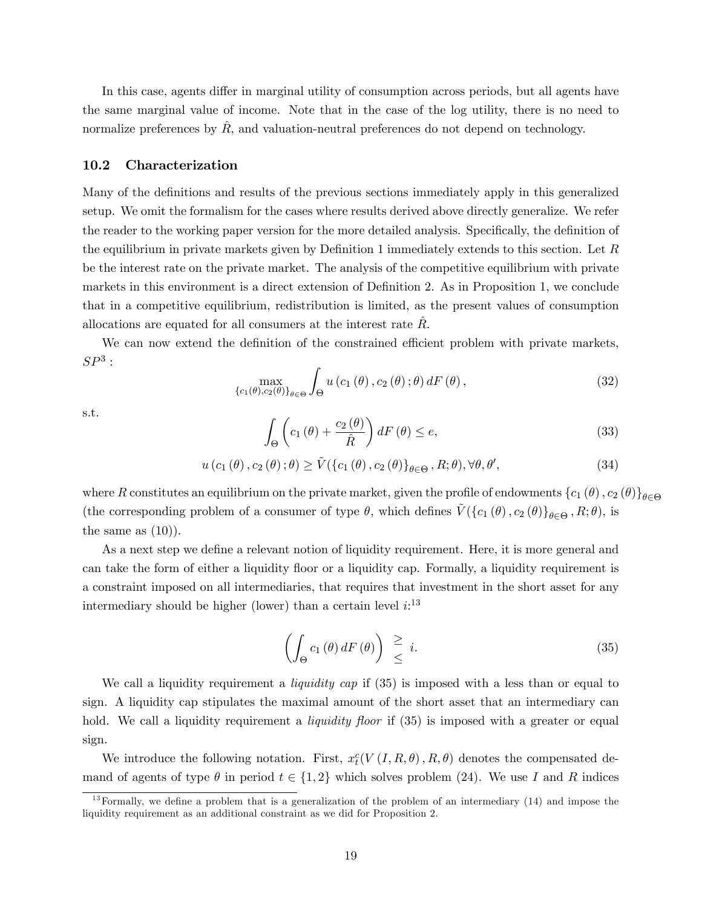In this case, agents differ in marginal utility of consumption across periods, but all agents have the same marginal value of income. Note that in the case of the log utility, there is no need to normalize preferences by  $R$ , and valuation-neutral preferences do not depend on technology.

#### 10.2 Characterization

Many of the definitions and results of the previous sections immediately apply in this generalized setup. We omit the formalism for the cases where results derived above directly generalize. We refer the reader to the working paper version for the more detailed analysis. Specifically, the definition of the equilibrium in private markets given by Definition 1 immediately extends to this section. Let  $R$ be the interest rate on the private market. The analysis of the competitive equilibrium with private markets in this environment is a direct extension of Definition 2. As in Proposition 1, we conclude that in a competitive equilibrium, redistribution is limited, as the present values of consumption allocations are equated for all consumers at the interest rate R^.

We can now extend the definition of the constrained efficient problem with private markets,  $SP<sup>3</sup>$  :

$$
\max_{\{c_1(\theta), c_2(\theta)\}_{\theta \in \Theta}} \int_{\Theta} u\left(c_1(\theta), c_2(\theta); \theta\right) dF\left(\theta\right),\tag{32}
$$

s.t.

$$
\int_{\Theta} \left( c_1 \left( \theta \right) + \frac{c_2 \left( \theta \right)}{\hat{R}} \right) dF \left( \theta \right) \le e,\tag{33}
$$

$$
u\left(c_1\left(\theta\right),c_2\left(\theta\right);\theta\right) \ge \tilde{V}\left(\left\{c_1\left(\theta\right),c_2\left(\theta\right)\right\}_{\theta \in \Theta},R;\theta\right),\forall \theta,\theta',\tag{34}
$$

where R constitutes an equilibrium on the private market, given the profile of endowments  ${c_1(\theta), c_2(\theta)}_{\theta \in \Theta}$ (the corresponding problem of a consumer of type  $\theta$ , which defines  $\tilde{V}(\{c_1(\theta), c_2(\theta)\}_{\theta \in \Theta}, R; \theta)$ , is the same as  $(10)$ ).

As a next step we define a relevant notion of liquidity requirement. Here, it is more general and can take the form of either a liquidity floor or a liquidity cap. Formally, a liquidity requirement is a constraint imposed on all intermediaries, that requires that investment in the short asset for any intermediary should be higher (lower) than a certain level  $i:^{13}$ 

$$
\left(\int_{\Theta} c_1(\theta) dF(\theta)\right) \stackrel{\geq}{\leq} i.
$$
\n(35)

We call a liquidity requirement a *liquidity cap* if  $(35)$  is imposed with a less than or equal to sign. A liquidity cap stipulates the maximal amount of the short asset that an intermediary can hold. We call a liquidity requirement a *liquidity floor* if  $(35)$  is imposed with a greater or equal sign.

We introduce the following notation. First,  $x_t^c(V(I, R, \theta), R, \theta)$  denotes the compensated demand of agents of type  $\theta$  in period  $t \in \{1,2\}$  which solves problem (24). We use I and R indices

 $13$  Formally, we define a problem that is a generalization of the problem of an intermediary (14) and impose the liquidity requirement as an additional constraint as we did for Proposition 2.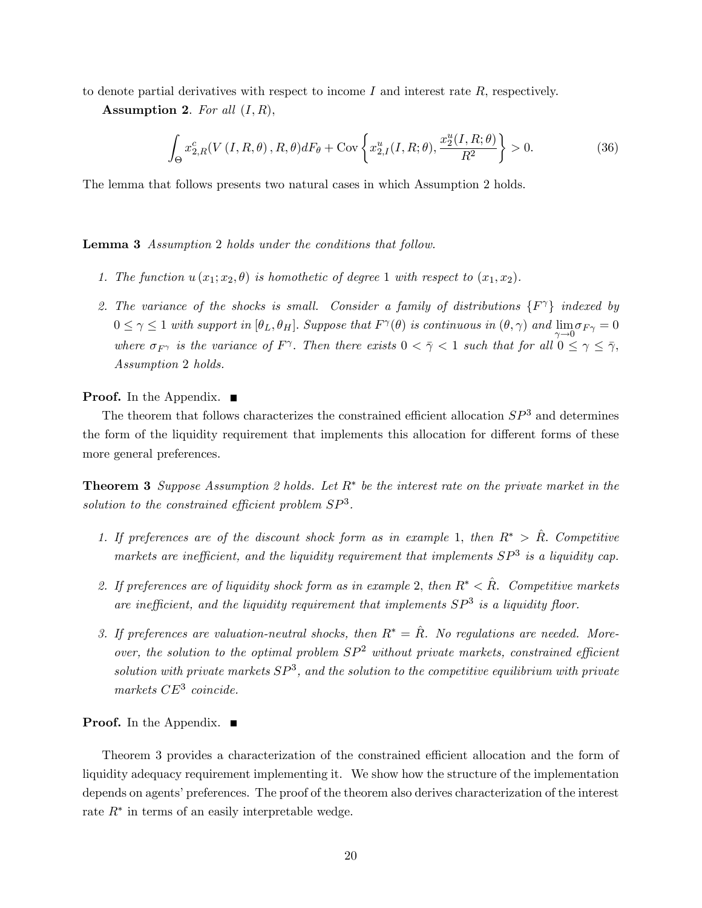to denote partial derivatives with respect to income  $I$  and interest rate  $R$ , respectively.

Assumption 2. For all  $(I, R)$ ,

$$
\int_{\Theta} x_{2,R}^c(V(I,R,\theta),R,\theta)dF_{\theta} + \text{Cov}\left\{x_{2,I}^u(I,R;\theta),\frac{x_2^u(I,R;\theta)}{R^2}\right\} > 0.
$$
 (36)

The lemma that follows presents two natural cases in which Assumption 2 holds.

Lemma 3 Assumption 2 holds under the conditions that follow.

- 1. The function  $u(x_1; x_2, \theta)$  is homothetic of degree 1 with respect to  $(x_1, x_2)$ .
- 2. The variance of the shocks is small. Consider a family of distributions  $\{F^{\gamma}\}\$  indexed by  $0 \leq \gamma \leq 1$  with support in  $[\theta_L, \theta_H]$ . Suppose that  $F^{\gamma}(\theta)$  is continuous in  $(\theta, \gamma)$  and  $\lim_{\gamma \to 0} \sigma_{F\gamma} = 0$  $\gamma \rightarrow 0$ where  $\sigma_{F\gamma}$  is the variance of  $F^{\gamma}$ . Then there exists  $0 < \bar{\gamma} < 1$  such that for all  $0 \le \gamma \le \bar{\gamma}$ , Assumption 2 holds.

**Proof.** In the Appendix.  $\blacksquare$ 

The theorem that follows characterizes the constrained efficient allocation  $SP<sup>3</sup>$  and determines the form of the liquidity requirement that implements this allocation for different forms of these more general preferences.

**Theorem 3** Suppose Assumption 2 holds. Let  $R^*$  be the interest rate on the private market in the solution to the constrained efficient problem  $SP<sup>3</sup>$ .

- 1. If preferences are of the discount shock form as in example 1, then  $R^*$  >  $\hat{R}$ . Competitive markets are inefficient, and the liquidity requirement that implements  $SP^3$  is a liquidity cap.
- 2. If preferences are of liquidity shock form as in example 2, then  $R^* < \hat{R}$ . Competitive markets are inefficient, and the liquidity requirement that implements  $SP^3$  is a liquidity floor.
- 3. If preferences are valuation-neutral shocks, then  $R^* = \hat{R}$ . No regulations are needed. Moreover, the solution to the optimal problem  $SP<sup>2</sup>$  without private markets, constrained efficient solution with private markets  $SP<sup>3</sup>$ , and the solution to the competitive equilibrium with private markets  $CE^3$  coincide.

**Proof.** In the Appendix.  $\blacksquare$ 

Theorem 3 provides a characterization of the constrained efficient allocation and the form of liquidity adequacy requirement implementing it. We show how the structure of the implementation depends on agents' preferences. The proof of the theorem also derives characterization of the interest rate  $R^*$  in terms of an easily interpretable wedge.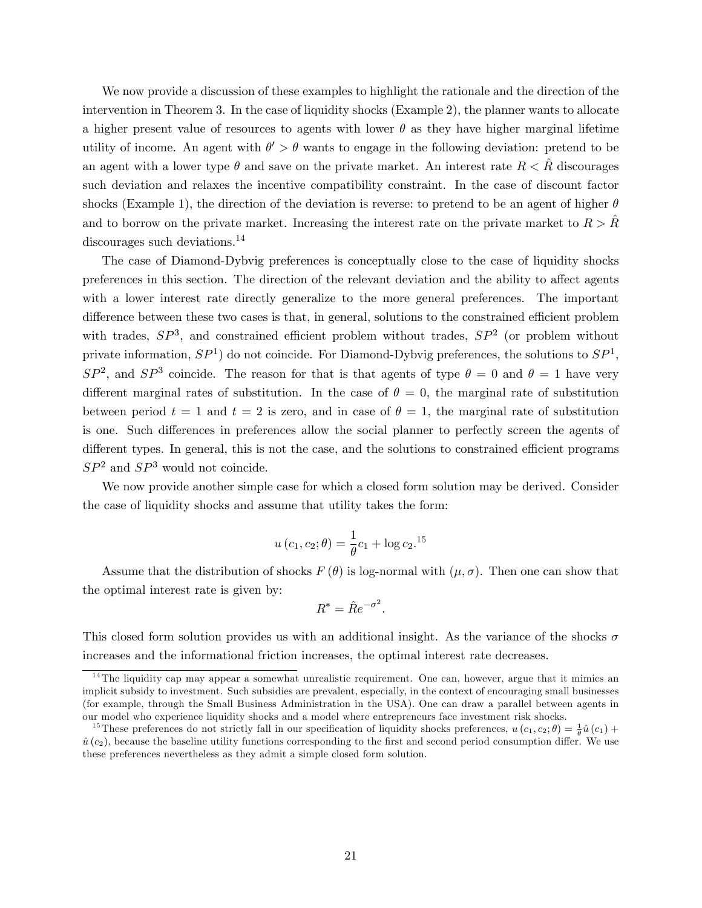We now provide a discussion of these examples to highlight the rationale and the direction of the intervention in Theorem 3. In the case of liquidity shocks (Example 2), the planner wants to allocate a higher present value of resources to agents with lower  $\theta$  as they have higher marginal lifetime utility of income. An agent with  $\theta' > \theta$  wants to engage in the following deviation: pretend to be an agent with a lower type  $\theta$  and save on the private market. An interest rate  $R < R$  discourages such deviation and relaxes the incentive compatibility constraint. In the case of discount factor shocks (Example 1), the direction of the deviation is reverse: to pretend to be an agent of higher  $\theta$ and to borrow on the private market. Increasing the interest rate on the private market to  $R > \hat{R}$ discourages such deviations.<sup>14</sup>

The case of Diamond-Dybvig preferences is conceptually close to the case of liquidity shocks preferences in this section. The direction of the relevant deviation and the ability to affect agents with a lower interest rate directly generalize to the more general preferences. The important difference between these two cases is that, in general, solutions to the constrained efficient problem with trades,  $SP^3$ , and constrained efficient problem without trades,  $SP^2$  (or problem without private information,  $SP<sup>1</sup>$ ) do not coincide. For Diamond-Dybvig preferences, the solutions to  $SP<sup>1</sup>$ ,  $SP<sup>2</sup>$ , and  $SP<sup>3</sup>$  coincide. The reason for that is that agents of type  $\theta = 0$  and  $\theta = 1$  have very different marginal rates of substitution. In the case of  $\theta = 0$ , the marginal rate of substitution between period  $t = 1$  and  $t = 2$  is zero, and in case of  $\theta = 1$ , the marginal rate of substitution is one. Such differences in preferences allow the social planner to perfectly screen the agents of different types. In general, this is not the case, and the solutions to constrained efficient programs  $SP<sup>2</sup>$  and  $SP<sup>3</sup>$  would not coincide.

We now provide another simple case for which a closed form solution may be derived. Consider the case of liquidity shocks and assume that utility takes the form:

$$
u(c_1, c_2; \theta) = \frac{1}{\theta}c_1 + \log c_2^{15}
$$

Assume that the distribution of shocks  $F(\theta)$  is log-normal with  $(\mu, \sigma)$ . Then one can show that the optimal interest rate is given by:

$$
R^* = \hat{R}e^{-\sigma^2}.
$$

This closed form solution provides us with an additional insight. As the variance of the shocks  $\sigma$ increases and the informational friction increases, the optimal interest rate decreases.

 $14$ The liquidity cap may appear a somewhat unrealistic requirement. One can, however, argue that it mimics an implicit subsidy to investment. Such subsidies are prevalent, especially, in the context of encouraging small businesses (for example, through the Small Business Administration in the USA). One can draw a parallel between agents in our model who experience liquidity shocks and a model where entrepreneurs face investment risk shocks.

<sup>&</sup>lt;sup>15</sup>These preferences do not strictly fall in our specification of liquidity shocks preferences,  $u(c_1, c_2; \theta) = \frac{1}{\theta}\hat{u}(c_1) +$  $\hat{u}(c_2)$ , because the baseline utility functions corresponding to the first and second period consumption differ. We use these preferences nevertheless as they admit a simple closed form solution.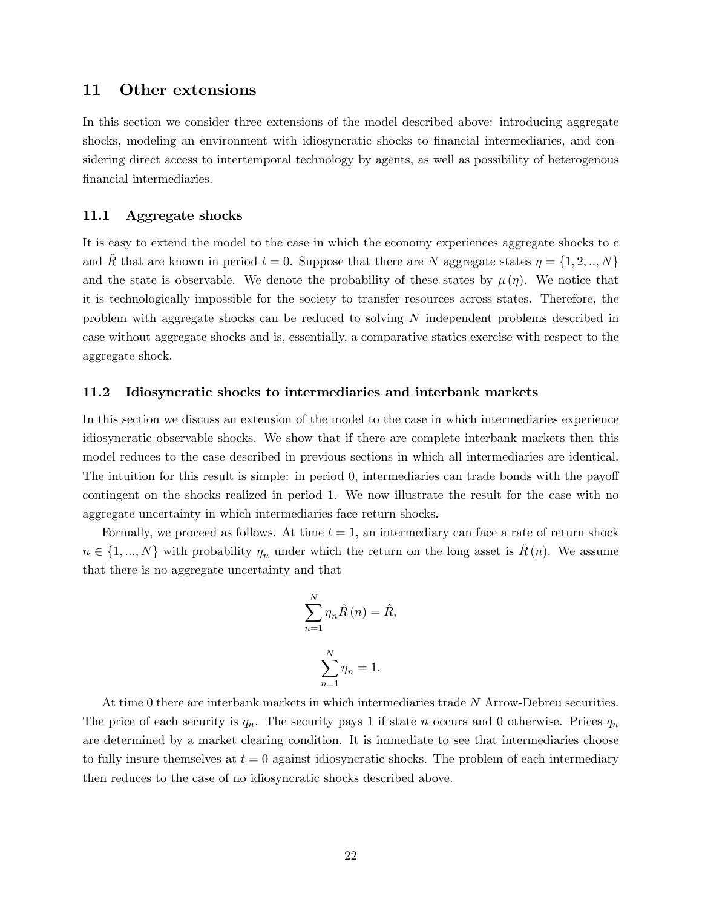## 11 Other extensions

In this section we consider three extensions of the model described above: introducing aggregate shocks, modeling an environment with idiosyncratic shocks to financial intermediaries, and considering direct access to intertemporal technology by agents, as well as possibility of heterogenous financial intermediaries.

#### 11.1 Aggregate shocks

It is easy to extend the model to the case in which the economy experiences aggregate shocks to e and R that are known in period  $t = 0$ . Suppose that there are N aggregate states  $\eta = \{1, 2, ..., N\}$ and the state is observable. We denote the probability of these states by  $\mu(\eta)$ . We notice that it is technologically impossible for the society to transfer resources across states. Therefore, the problem with aggregate shocks can be reduced to solving N independent problems described in case without aggregate shocks and is, essentially, a comparative statics exercise with respect to the aggregate shock.

#### 11.2 Idiosyncratic shocks to intermediaries and interbank markets

In this section we discuss an extension of the model to the case in which intermediaries experience idiosyncratic observable shocks. We show that if there are complete interbank markets then this model reduces to the case described in previous sections in which all intermediaries are identical. The intuition for this result is simple: in period 0, intermediaries can trade bonds with the payoff contingent on the shocks realized in period 1. We now illustrate the result for the case with no aggregate uncertainty in which intermediaries face return shocks.

Formally, we proceed as follows. At time  $t = 1$ , an intermediary can face a rate of return shock  $n \in \{1, ..., N\}$  with probability  $\eta_n$  under which the return on the long asset is  $R(n)$ . We assume that there is no aggregate uncertainty and that

$$
\sum_{n=1}^{N} \eta_n \hat{R}(n) = \hat{R},
$$

$$
\sum_{n=1}^{N} \eta_n = 1.
$$

At time 0 there are interbank markets in which intermediaries trade N Arrow-Debreu securities. The price of each security is  $q_n$ . The security pays 1 if state n occurs and 0 otherwise. Prices  $q_n$ are determined by a market clearing condition. It is immediate to see that intermediaries choose to fully insure themselves at  $t = 0$  against idiosyncratic shocks. The problem of each intermediary then reduces to the case of no idiosyncratic shocks described above.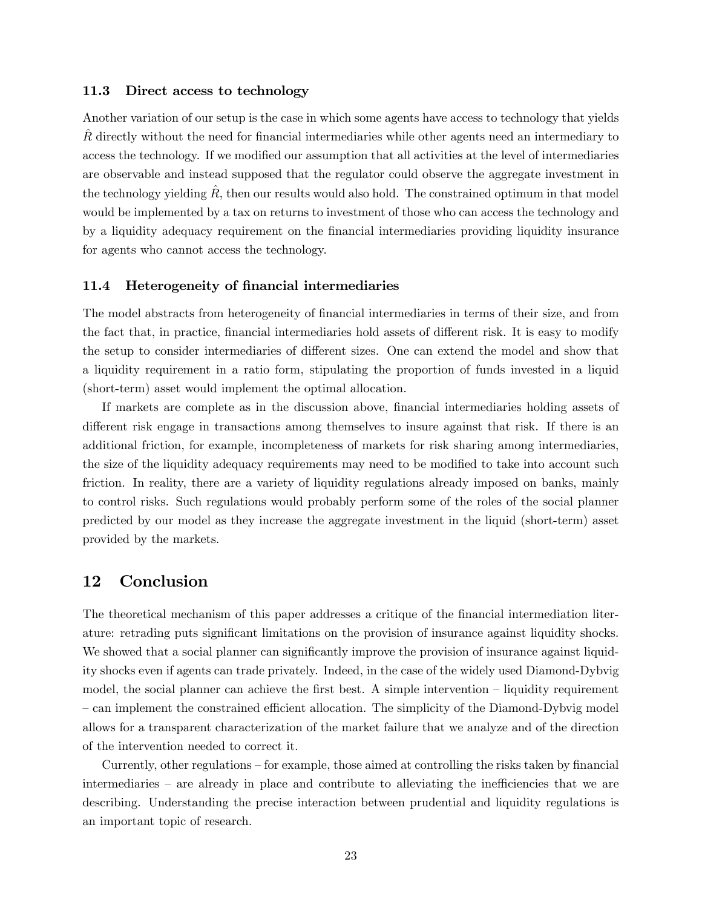#### 11.3 Direct access to technology

Another variation of our setup is the case in which some agents have access to technology that yields R directly without the need for financial intermediaries while other agents need an intermediary to access the technology. If we modified our assumption that all activities at the level of intermediaries are observable and instead supposed that the regulator could observe the aggregate investment in the technology yielding  $R$ , then our results would also hold. The constrained optimum in that model would be implemented by a tax on returns to investment of those who can access the technology and by a liquidity adequacy requirement on the Önancial intermediaries providing liquidity insurance for agents who cannot access the technology.

#### 11.4 Heterogeneity of financial intermediaries

The model abstracts from heterogeneity of financial intermediaries in terms of their size, and from the fact that, in practice, financial intermediaries hold assets of different risk. It is easy to modify the setup to consider intermediaries of different sizes. One can extend the model and show that a liquidity requirement in a ratio form, stipulating the proportion of funds invested in a liquid (short-term) asset would implement the optimal allocation.

If markets are complete as in the discussion above, financial intermediaries holding assets of different risk engage in transactions among themselves to insure against that risk. If there is an additional friction, for example, incompleteness of markets for risk sharing among intermediaries, the size of the liquidity adequacy requirements may need to be modified to take into account such friction. In reality, there are a variety of liquidity regulations already imposed on banks, mainly to control risks. Such regulations would probably perform some of the roles of the social planner predicted by our model as they increase the aggregate investment in the liquid (short-term) asset provided by the markets.

## 12 Conclusion

The theoretical mechanism of this paper addresses a critique of the financial intermediation literature: retrading puts significant limitations on the provision of insurance against liquidity shocks. We showed that a social planner can significantly improve the provision of insurance against liquidity shocks even if agents can trade privately. Indeed, in the case of the widely used Diamond-Dybvig model, the social planner can achieve the first best. A simple intervention  $\overline{\phantom{a}}$ -liquidity requirement – can implement the constrained efficient allocation. The simplicity of the Diamond-Dybvig model allows for a transparent characterization of the market failure that we analyze and of the direction of the intervention needed to correct it.

Currently, other regulations – for example, those aimed at controlling the risks taken by financial intermediaries  $\overline{\phantom{a}}$  are already in place and contribute to alleviating the inefficiencies that we are describing. Understanding the precise interaction between prudential and liquidity regulations is an important topic of research.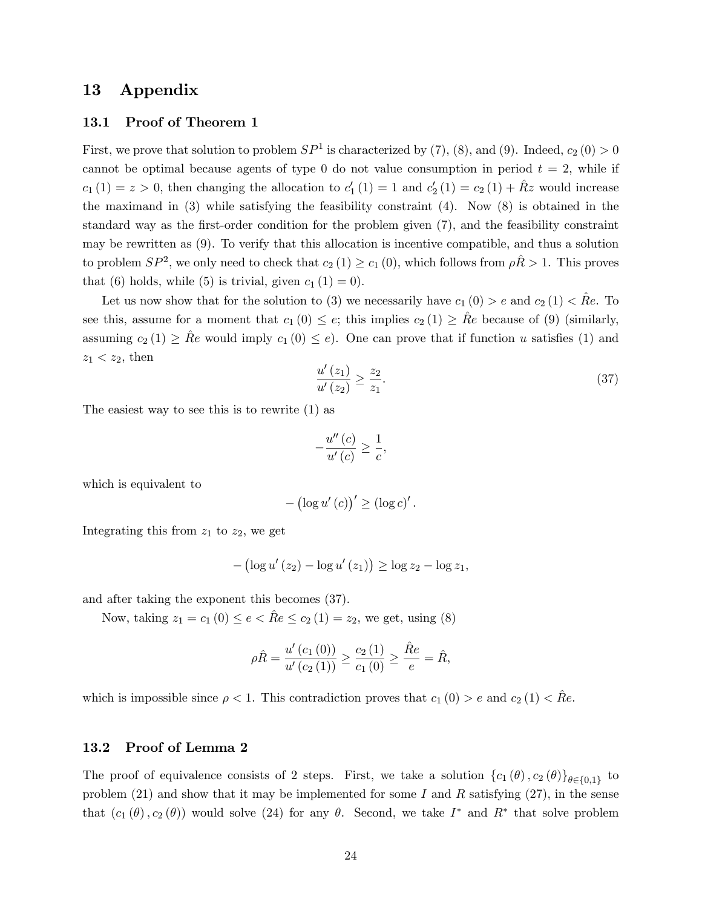## 13 Appendix

#### 13.1 Proof of Theorem 1

First, we prove that solution to problem  $SP<sup>1</sup>$  is characterized by (7), (8), and (9). Indeed,  $c_2$  (0) > 0 cannot be optimal because agents of type 0 do not value consumption in period  $t = 2$ , while if  $c_1(1) = z > 0$ , then changing the allocation to  $c'_1(1) = 1$  and  $c'_2(1) = c_2(1) + \hat{R}z$  would increase the maximand in (3) while satisfying the feasibility constraint (4). Now (8) is obtained in the standard way as the first-order condition for the problem given  $(7)$ , and the feasibility constraint may be rewritten as (9). To verify that this allocation is incentive compatible, and thus a solution to problem  $SP^2$ , we only need to check that  $c_2(1) \ge c_1(0)$ , which follows from  $\rho \hat{R} > 1$ . This proves that (6) holds, while (5) is trivial, given  $c_1$  (1) = 0).

Let us now show that for the solution to (3) we necessarily have  $c_1$  (0) > e and  $c_2$  (1) < Re. To see this, assume for a moment that  $c_1 (0) \le e$ ; this implies  $c_2 (1) \ge \overline{R}e$  because of (9) (similarly, assuming  $c_2 (1) \geq \hat{R}e$  would imply  $c_1 (0) \leq e$ . One can prove that if function u satisfies (1) and  $z_1 < z_2$ , then

$$
\frac{u'(z_1)}{u'(z_2)} \ge \frac{z_2}{z_1}.\tag{37}
$$

The easiest way to see this is to rewrite (1) as

$$
-\frac{u''(c)}{u'(c)} \ge \frac{1}{c},
$$

which is equivalent to

$$
-\left(\log u'(c)\right)' \geq \left(\log c\right)'.
$$

Integrating this from  $z_1$  to  $z_2$ , we get

$$
-\left(\log u'\left(z_{2}\right)-\log u'\left(z_{1}\right)\right)\geq\log z_{2}-\log z_{1},
$$

and after taking the exponent this becomes (37).

Now, taking  $z_1 = c_1 (0) \le e \le \hat{R}e \le c_2 (1) = z_2$ , we get, using (8)

$$
\rho \hat{R} = \frac{u'(c_1(0))}{u'(c_2(1))} \ge \frac{c_2(1)}{c_1(0)} \ge \frac{\hat{R}e}{e} = \hat{R},
$$

which is impossible since  $\rho < 1$ . This contradiction proves that  $c_1 (0) > e$  and  $c_2 (1) < Re$ .

#### 13.2 Proof of Lemma 2

The proof of equivalence consists of 2 steps. First, we take a solution  $\{c_1(\theta), c_2(\theta)\}_{\theta \in \{0,1\}}$  to problem  $(21)$  and show that it may be implemented for some I and R satisfying  $(27)$ , in the sense that  $(c_1(\theta), c_2(\theta))$  would solve (24) for any  $\theta$ . Second, we take  $I^*$  and  $R^*$  that solve problem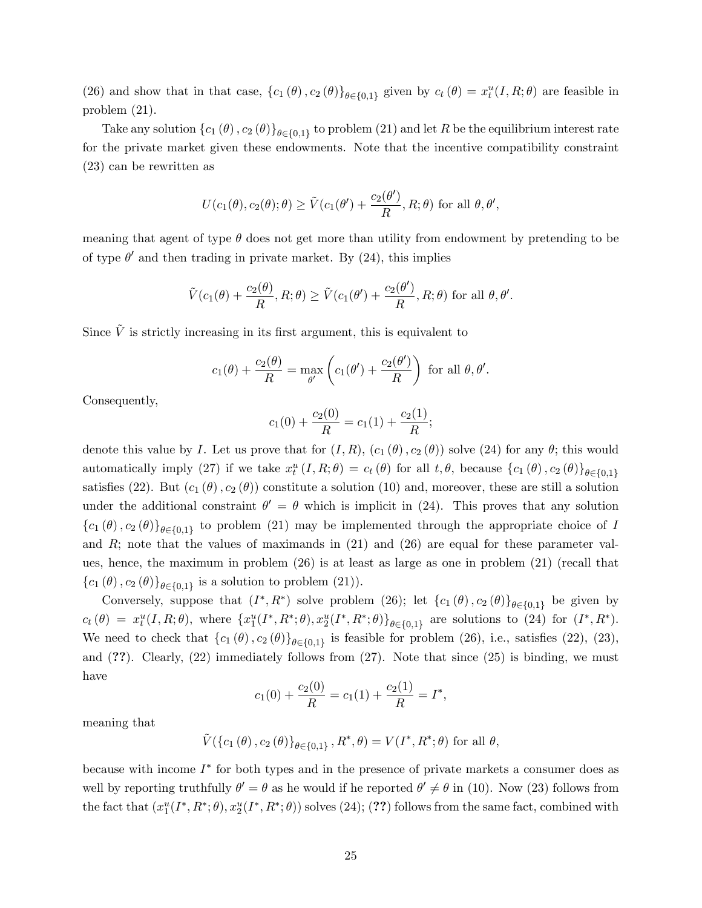(26) and show that in that case,  ${c_1(\theta), c_2(\theta)}_{\theta \in \{0,1\}}$  given by  $c_t(\theta) = x_t^u(I, R; \theta)$  are feasible in problem (21).

Take any solution  $\{c_1(\theta), c_2(\theta)\}_{\theta \in \{0,1\}}$  to problem (21) and let R be the equilibrium interest rate for the private market given these endowments. Note that the incentive compatibility constraint (23) can be rewritten as

$$
U(c_1(\theta), c_2(\theta); \theta) \ge \tilde{V}(c_1(\theta') + \frac{c_2(\theta')}{R}, R; \theta)
$$
 for all  $\theta, \theta',$ 

meaning that agent of type  $\theta$  does not get more than utility from endowment by pretending to be of type  $\theta'$  and then trading in private market. By  $(24)$ , this implies

$$
\tilde{V}(c_1(\theta) + \frac{c_2(\theta)}{R}, R; \theta) \ge \tilde{V}(c_1(\theta') + \frac{c_2(\theta')}{R}, R; \theta)
$$
 for all  $\theta, \theta'$ .

Since  $\tilde{V}$  is strictly increasing in its first argument, this is equivalent to

$$
c_1(\theta) + \frac{c_2(\theta)}{R} = \max_{\theta'} \left( c_1(\theta') + \frac{c_2(\theta')}{R} \right)
$$
 for all  $\theta, \theta'$ .

Consequently,

$$
c_1(0) + \frac{c_2(0)}{R} = c_1(1) + \frac{c_2(1)}{R};
$$

denote this value by I. Let us prove that for  $(I, R)$ ,  $(c_1(\theta), c_2(\theta))$  solve (24) for any  $\theta$ ; this would automatically imply (27) if we take  $x_t^u(I, R; \theta) = c_t(\theta)$  for all  $t, \theta$ , because  $\{c_1(\theta), c_2(\theta)\}_{\theta \in \{0,1\}}$ satisfies (22). But  $(c_1 (\theta), c_2 (\theta))$  constitute a solution (10) and, moreover, these are still a solution under the additional constraint  $\theta' = \theta$  which is implicit in (24). This proves that any solution  ${c_1(\theta), c_2(\theta)}_{\theta \in \{0,1\}}$  to problem (21) may be implemented through the appropriate choice of I and  $R$ ; note that the values of maximands in  $(21)$  and  $(26)$  are equal for these parameter values, hence, the maximum in problem (26) is at least as large as one in problem (21) (recall that  ${c_1 (\theta), c_2 (\theta)}_{\theta \in \{0,1\}}$  is a solution to problem (21)).

Conversely, suppose that  $(I^*, R^*)$  solve problem  $(26)$ ; let  $\{c_1(\theta), c_2(\theta)\}_{\theta \in \{0,1\}}$  be given by  $c_t(\theta) = x_t^u(I, R; \theta)$ , where  $\{x_1^u(I^*, R^*; \theta), x_2^u(I^*, R^*; \theta)\}_{\theta \in \{0,1\}}$  are solutions to (24) for  $(I^*, R^*)$ . We need to check that  ${c_1(\theta), c_2(\theta)}_{\theta \in \{0,1\}}$  is feasible for problem (26), i.e., satisfies (22), (23), and (??). Clearly, (22) immediately follows from (27). Note that since (25) is binding, we must have

$$
c_1(0) + \frac{c_2(0)}{R} = c_1(1) + \frac{c_2(1)}{R} = I^*,
$$

meaning that

$$
\tilde{V}(\{c_1(\theta), c_2(\theta)\}_{\theta \in \{0,1\}}, R^*, \theta) = V(I^*, R^*; \theta)
$$
 for all  $\theta$ ,

because with income  $I^*$  for both types and in the presence of private markets a consumer does as well by reporting truthfully  $\theta' = \theta$  as he would if he reported  $\theta' \neq \theta$  in (10). Now (23) follows from the fact that  $(x_1^u(I^*, R^*; \theta), x_2^u(I^*, R^*; \theta))$  solves (24); (??) follows from the same fact, combined with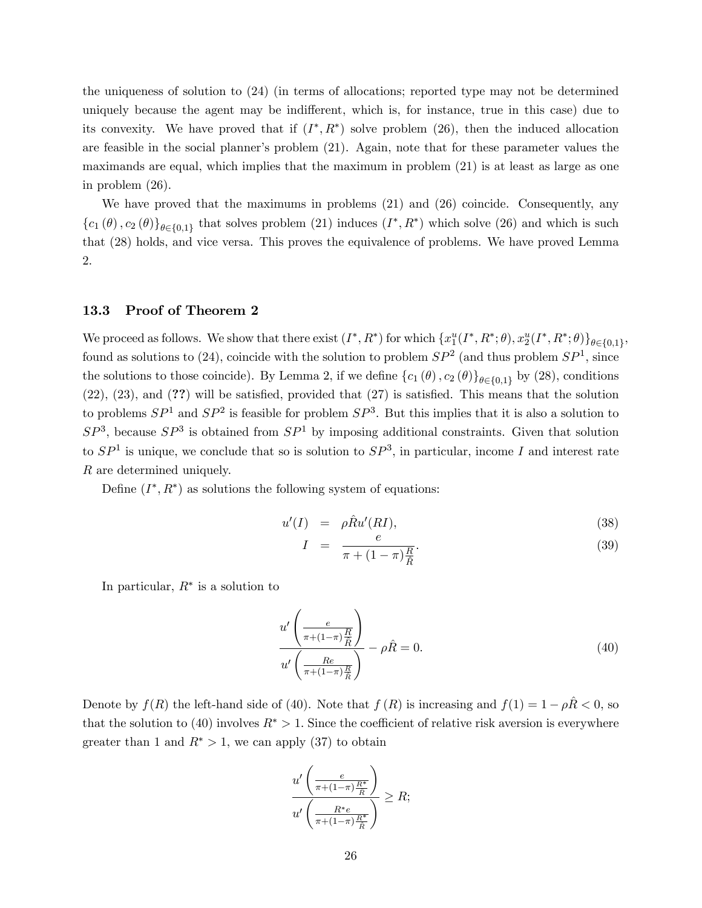the uniqueness of solution to (24) (in terms of allocations; reported type may not be determined uniquely because the agent may be indifferent, which is, for instance, true in this case) due to its convexity. We have proved that if  $(I^*, R^*)$  solve problem (26), then the induced allocation are feasible in the social planner's problem (21). Again, note that for these parameter values the maximands are equal, which implies that the maximum in problem (21) is at least as large as one in problem (26).

We have proved that the maximums in problems (21) and (26) coincide. Consequently, any  ${c_1(\theta), c_2(\theta)}_{\theta \in \{0,1\}}$  that solves problem (21) induces  $(I^*, R^*)$  which solve (26) and which is such that (28) holds, and vice versa. This proves the equivalence of problems. We have proved Lemma 2.

#### 13.3 Proof of Theorem 2

We proceed as follows. We show that there exist  $(I^*, R^*)$  for which  $\{x_1^u(I^*, R^*; \theta), x_2^u(I^*, R^*; \theta)\}_{\theta \in \{0,1\}}$ , found as solutions to (24), coincide with the solution to problem  $SP^2$  (and thus problem  $SP^1$ , since the solutions to those coincide). By Lemma 2, if we define  $\{c_1(\theta), c_2(\theta)\}_{\theta \in \{0,1\}}$  by  $(28)$ , conditions  $(22)$ ,  $(23)$ , and  $(??)$  will be satisfied, provided that  $(27)$  is satisfied. This means that the solution to problems  $SP<sup>1</sup>$  and  $SP<sup>2</sup>$  is feasible for problem  $SP<sup>3</sup>$ . But this implies that it is also a solution to  $SP<sup>3</sup>$ , because  $SP<sup>3</sup>$  is obtained from  $SP<sup>1</sup>$  by imposing additional constraints. Given that solution to  $SP<sup>1</sup>$  is unique, we conclude that so is solution to  $SP<sup>3</sup>$ , in particular, income I and interest rate R are determined uniquely.

Define  $(I^*, R^*)$  as solutions the following system of equations:

$$
u'(I) = \rho \hat{R} u'(RI), \tag{38}
$$

$$
I = \frac{e}{\pi + (1 - \pi)\frac{R}{\hat{R}}}.\tag{39}
$$

In particular,  $R^*$  is a solution to

$$
\frac{u'\left(\frac{e}{\pi + (1-\pi)\frac{R}{\hat{R}}}\right)}{u'\left(\frac{Re}{\pi + (1-\pi)\frac{R}{\hat{R}}}\right)} - \rho \hat{R} = 0.
$$
\n(40)

Denote by  $f(R)$  the left-hand side of (40). Note that  $f(R)$  is increasing and  $f(1) = 1 - \rho \hat{R} < 0$ , so that the solution to (40) involves  $R^* > 1$ . Since the coefficient of relative risk aversion is everywhere greater than 1 and  $R^* > 1$ , we can apply (37) to obtain

$$
\frac{u'\left(\frac{e}{\pi + (1-\pi)\frac{R^*}{\hat{R}}}\right)}{u'\left(\frac{R^*e}{\pi + (1-\pi)\frac{R^*}{\hat{R}}}\right)} \geq R;
$$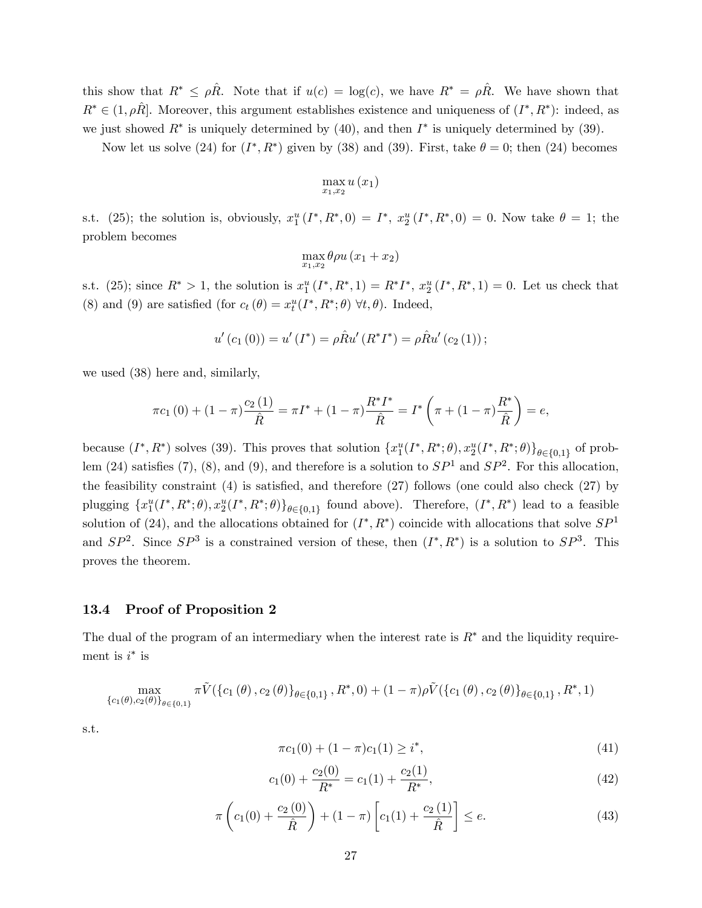this show that  $R^* \leq \rho \hat{R}$ . Note that if  $u(c) = \log(c)$ , we have  $R^* = \rho \hat{R}$ . We have shown that  $R^* \in (1, \rho \hat{R}]$ . Moreover, this argument establishes existence and uniqueness of  $(I^*, R^*)$ : indeed, as we just showed  $R^*$  is uniquely determined by (40), and then  $I^*$  is uniquely determined by (39).

Now let us solve (24) for  $(I^*, R^*)$  given by (38) and (39). First, take  $\theta = 0$ ; then (24) becomes

$$
\max_{x_1,x_2} u\left(x_1\right)
$$

s.t. (25); the solution is, obviously,  $x_1^u(I^*, R^*, 0) = I^*, x_2^u(I^*, R^*, 0) = 0$ . Now take  $\theta = 1$ ; the problem becomes

$$
\max_{x_1,x_2} \theta \rho u \left( x_1 + x_2 \right)
$$

s.t. (25); since  $R^* > 1$ , the solution is  $x_1^u(I^*, R^*, 1) = R^*I^*, x_2^u(I^*, R^*, 1) = 0$ . Let us check that (8) and (9) are satisfied (for  $c_t(\theta) = x_t^u(I^*, R^*; \theta) \,\forall t, \theta$ ). Indeed,

$$
u'(c_1(0)) = u'(I^*) = \rho \hat{R}u'(R^*I^*) = \rho \hat{R}u'(c_2(1));
$$

we used (38) here and, similarly,

$$
\pi c_1(0) + (1 - \pi) \frac{c_2(1)}{\hat{R}} = \pi I^* + (1 - \pi) \frac{R^* I^*}{\hat{R}} = I^* \left( \pi + (1 - \pi) \frac{R^*}{\hat{R}} \right) = e,
$$

because  $(I^*, R^*)$  solves (39). This proves that solution  $\{x_1^u(I^*, R^*; \theta), x_2^u(I^*, R^*; \theta)\}_{\theta \in \{0,1\}}$  of problem (24) satisfies (7), (8), and (9), and therefore is a solution to  $SP<sup>1</sup>$  and  $SP<sup>2</sup>$ . For this allocation, the feasibility constraint  $(4)$  is satisfied, and therefore  $(27)$  follows (one could also check  $(27)$  by plugging  $\{x_1^u(I^*, R^*; \theta), x_2^u(I^*, R^*; \theta)\}_{\theta \in \{0,1\}}$  found above). Therefore,  $(I^*, R^*)$  lead to a feasible solution of (24), and the allocations obtained for  $(I^*, R^*)$  coincide with allocations that solve  $SP<sup>1</sup>$ and  $SP^2$ . Since  $SP^3$  is a constrained version of these, then  $(I^*, R^*)$  is a solution to  $SP^3$ . This proves the theorem.

#### 13.4 Proof of Proposition 2

The dual of the program of an intermediary when the interest rate is  $R^*$  and the liquidity requirement is  $i^*$  is

$$
\max_{\{c_1(\theta), c_2(\theta)\}_{\theta \in \{0,1\}} } \pi \tilde{V}(\{c_1(\theta), c_2(\theta)\}_{\theta \in \{0,1\}}, R^*, 0) + (1 - \pi) \rho \tilde{V}(\{c_1(\theta), c_2(\theta)\}_{\theta \in \{0,1\}}, R^*, 1)
$$

s.t.

$$
\pi c_1(0) + (1 - \pi)c_1(1) \ge i^*,\tag{41}
$$

$$
c_1(0) + \frac{c_2(0)}{R^*} = c_1(1) + \frac{c_2(1)}{R^*},
$$
\n(42)

$$
\pi \left( c_1(0) + \frac{c_2(0)}{\hat{R}} \right) + (1 - \pi) \left[ c_1(1) + \frac{c_2(1)}{\hat{R}} \right] \le e.
$$
\n(43)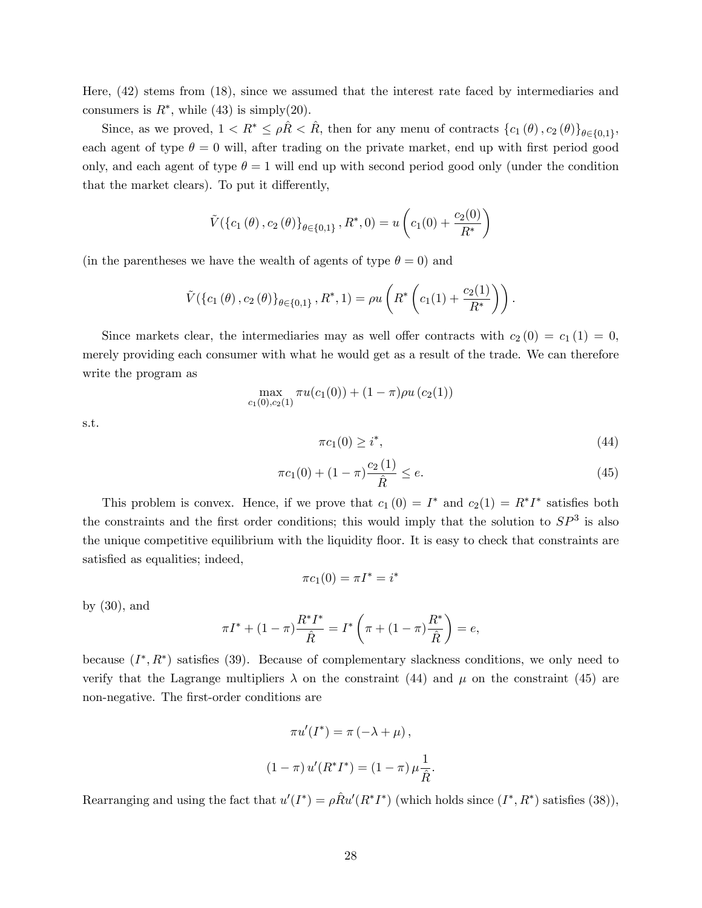Here, (42) stems from (18), since we assumed that the interest rate faced by intermediaries and consumers is  $R^*$ , while (43) is simply(20).

Since, as we proved,  $1 < R^* \leq \rho \hat{R} < \hat{R}$ , then for any menu of contracts  $\{c_1 (\theta), c_2 (\theta)\}_{\theta \in \{0,1\}}$ , each agent of type  $\theta = 0$  will, after trading on the private market, end up with first period good only, and each agent of type  $\theta = 1$  will end up with second period good only (under the condition that the market clears). To put it differently,

$$
\tilde{V}(\lbrace c_1(\theta), c_2(\theta) \rbrace_{\theta \in \{0,1\}}, R^*, 0) = u\left(c_1(0) + \frac{c_2(0)}{R^*}\right)
$$

(in the parentheses we have the wealth of agents of type  $\theta = 0$ ) and

$$
\tilde{V}(\lbrace c_1(\theta), c_2(\theta) \rbrace_{\theta \in \lbrace 0,1 \rbrace}, R^*, 1) = \rho u \left( R^* \left( c_1(1) + \frac{c_2(1)}{R^*} \right) \right).
$$

Since markets clear, the intermediaries may as well offer contracts with  $c_2 (0) = c_1 (1) = 0$ , merely providing each consumer with what he would get as a result of the trade. We can therefore write the program as

$$
\max_{c_1(0), c_2(1)} \pi u(c_1(0)) + (1 - \pi)\rho u(c_2(1))
$$

s.t.

$$
\pi c_1(0) \ge i^*,\tag{44}
$$

$$
\pi c_1(0) + (1 - \pi) \frac{c_2(1)}{\hat{R}} \le e.
$$
\n(45)

This problem is convex. Hence, if we prove that  $c_1(0) = I^*$  and  $c_2(1) = R^*I^*$  satisfies both the constraints and the first order conditions; this would imply that the solution to  $SP^3$  is also the unique competitive equilibrium with the liquidity áoor. It is easy to check that constraints are satisfied as equalities; indeed,

$$
\pi c_1(0)=\pi I^*=i^*
$$

by (30), and

$$
\pi I^* + (1 - \pi) \frac{R^* I^*}{\hat{R}} = I^* \left( \pi + (1 - \pi) \frac{R^*}{\hat{R}} \right) = e,
$$

because  $(I^*, R^*)$  satisfies (39). Because of complementary slackness conditions, we only need to verify that the Lagrange multipliers  $\lambda$  on the constraint (44) and  $\mu$  on the constraint (45) are non-negative. The first-order conditions are

$$
\pi u'(I^*) = \pi \left(-\lambda + \mu\right),
$$
  

$$
(1 - \pi) u'(R^*I^*) = (1 - \pi) \mu \frac{1}{\hat{R}}.
$$

Rearranging and using the fact that  $u'(I^*) = \rho \hat{R} u'(R^*I^*)$  (which holds since  $(I^*, R^*)$  satisfies (38)),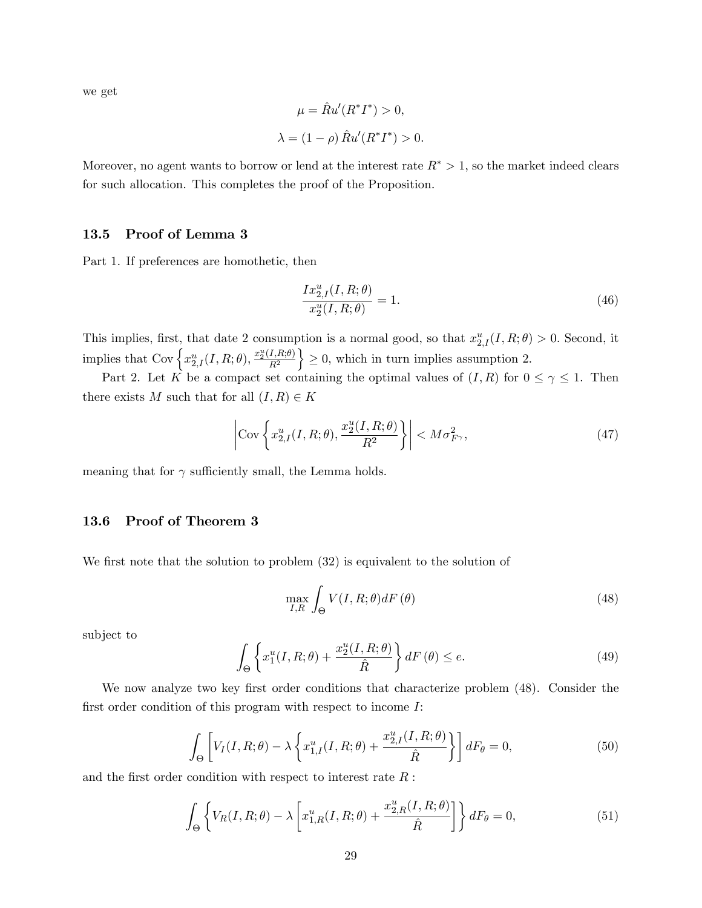we get

$$
\mu = \hat{R}u'(R^*I^*) > 0,
$$
  

$$
\lambda = (1 - \rho)\hat{R}u'(R^*I^*) > 0.
$$

Moreover, no agent wants to borrow or lend at the interest rate  $R^* > 1$ , so the market indeed clears for such allocation. This completes the proof of the Proposition.

#### 13.5 Proof of Lemma 3

Part 1. If preferences are homothetic, then

$$
\frac{Ix_{2,I}^{u}(I,R;\theta)}{x_{2}^{u}(I,R;\theta)} = 1.
$$
\n(46)

This implies, first, that date 2 consumption is a normal good, so that  $x_{2,I}^u(I, R; \theta) > 0$ . Second, it implies that  $Cov \left\{ x_{2,I}^u(I,R;\theta), \frac{x_2^u(I,R;\theta)}{R^2} \right\}$  $R^2$  $\{ \} \geq 0$ , which in turn implies assumption 2.

Part 2. Let K be a compact set containing the optimal values of  $(I, R)$  for  $0 \le \gamma \le 1$ . Then there exists M such that for all  $(I, R) \in K$ 

$$
\left| \text{Cov}\left\{ x_{2,I}^u(I,R;\theta), \frac{x_2^u(I,R;\theta)}{R^2} \right\} \right| < M \sigma_{F^\gamma}^2,\tag{47}
$$

meaning that for  $\gamma$  sufficiently small, the Lemma holds.

#### 13.6 Proof of Theorem 3

We first note that the solution to problem  $(32)$  is equivalent to the solution of

$$
\max_{I,R} \int_{\Theta} V(I,R;\theta) dF(\theta) \tag{48}
$$

subject to

$$
\int_{\Theta} \left\{ x_1^u(I, R; \theta) + \frac{x_2^u(I, R; \theta)}{\hat{R}} \right\} dF(\theta) \le e.
$$
\n(49)

We now analyze two key first order conditions that characterize problem (48). Consider the first order condition of this program with respect to income  $I$ :

$$
\int_{\Theta} \left[ V_I(I, R; \theta) - \lambda \left\{ x_{1,I}^u(I, R; \theta) + \frac{x_{2,I}^u(I, R; \theta)}{\hat{R}} \right\} \right] dF_{\theta} = 0, \tag{50}
$$

and the first order condition with respect to interest rate  $R$ :

$$
\int_{\Theta} \left\{ V_R(I, R; \theta) - \lambda \left[ x_{1,R}^u(I, R; \theta) + \frac{x_{2,R}^u(I, R; \theta)}{\hat{R}} \right] \right\} dF_{\theta} = 0, \tag{51}
$$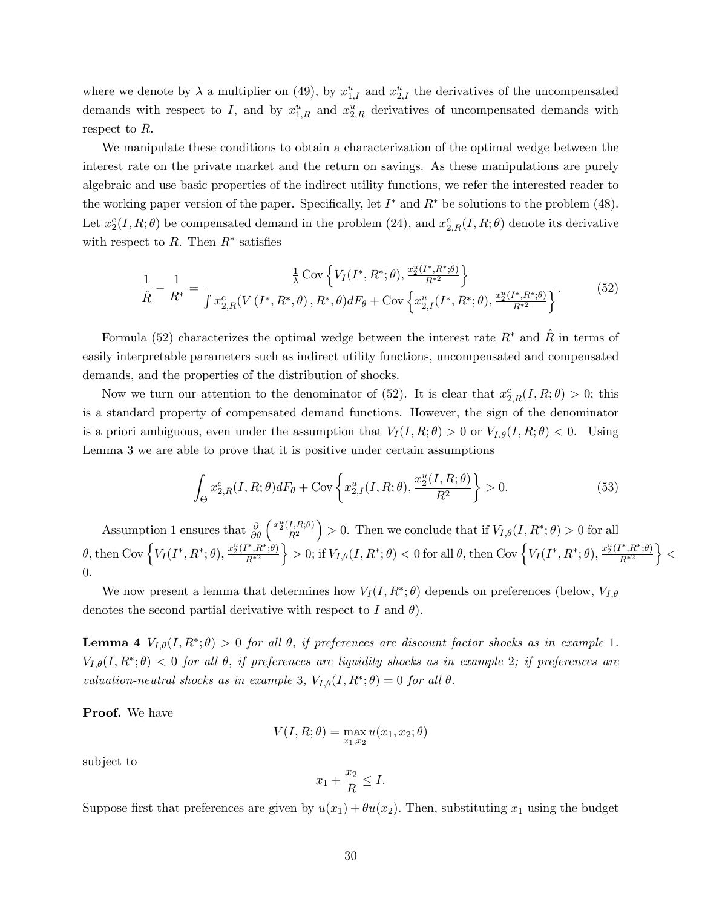where we denote by  $\lambda$  a multiplier on (49), by  $x_{1,I}^u$  and  $x_{2,I}^u$  the derivatives of the uncompensated demands with respect to I, and by  $x_{1,R}^u$  and  $x_{2,R}^u$  derivatives of uncompensated demands with respect to R.

We manipulate these conditions to obtain a characterization of the optimal wedge between the interest rate on the private market and the return on savings. As these manipulations are purely algebraic and use basic properties of the indirect utility functions, we refer the interested reader to the working paper version of the paper. Specifically, let  $I^*$  and  $R^*$  be solutions to the problem (48). Let  $x_2^c(I, R; \theta)$  be compensated demand in the problem (24), and  $x_{2,R}^c(I, R; \theta)$  denote its derivative with respect to R. Then  $R^*$  satisfies

$$
\frac{1}{\hat{R}} - \frac{1}{R^*} = \frac{\frac{1}{\lambda} \text{Cov} \left\{ V_I(I^*, R^*, \theta), \frac{x_2^u(I^*, R^*, \theta)}{R^{*2}} \right\}}{\int x_{2,R}^c (V(I^*, R^*, \theta), R^*, \theta) dF_{\theta} + \text{Cov} \left\{ x_{2,I}^u(I^*, R^*, \theta), \frac{x_2^u(I^*, R^*, \theta)}{R^{*2}} \right\}}.
$$
(52)

Formula (52) characterizes the optimal wedge between the interest rate  $R^*$  and  $\tilde{R}$  in terms of easily interpretable parameters such as indirect utility functions, uncompensated and compensated demands, and the properties of the distribution of shocks.

Now we turn our attention to the denominator of (52). It is clear that  $x_{2,R}^c(I, R; \theta) > 0$ ; this is a standard property of compensated demand functions. However, the sign of the denominator is a priori ambiguous, even under the assumption that  $V_I(I, R; \theta) > 0$  or  $V_{I,\theta}(I, R; \theta) < 0$ . Using Lemma 3 we are able to prove that it is positive under certain assumptions

$$
\int_{\Theta} x_{2,R}^c(I,R;\theta)dF_{\theta} + \text{Cov}\left\{x_{2,I}^u(I,R;\theta), \frac{x_2^u(I,R;\theta)}{R^2}\right\} > 0.
$$
\n(53)

Assumption 1 ensures that  $\frac{\partial}{\partial \theta} \left( \frac{x_2^u(I, R; \theta)}{R^2} \right)$  $\overline{R^2}$ ) > 0. Then we conclude that if  $V_{I,\theta}(I, R^*; \theta) > 0$  for all  $\theta$ , then Cov  $\left\{V_I(I^*,R^*;\theta),\frac{x_2^u(I^*,R^*;\theta)}{R^{*2}}\right\}$  $\overline{R^{*2}}$  $\Big\} > 0$ ; if  $V_{I,\theta}(I, R^*; \theta) < 0$  for all  $\theta$ , then Cov  $\Big\{V_I(I^*, R^*; \theta), \frac{x_2^u(I^*, R^*; \theta)}{R^*2}\Big\}$  $\overline{R^{*2}}$  $\big\}$  < 0.

We now present a lemma that determines how  $V_I(I, R^*; \theta)$  depends on preferences (below,  $V_{I, \theta}$ denotes the second partial derivative with respect to I and  $\theta$ ).

**Lemma 4**  $V_{I,\theta}(I,R^*;\theta) > 0$  for all  $\theta$ , if preferences are discount factor shocks as in example 1.  $V_{I,\theta}(I,R^*;\theta) < 0$  for all  $\theta$ , if preferences are liquidity shocks as in example 2; if preferences are valuation-neutral shocks as in example 3,  $V_{I,\theta}(I, R^*; \theta) = 0$  for all  $\theta$ .

Proof. We have

$$
V(I, R; \theta) = \max_{x_1, x_2} u(x_1, x_2; \theta)
$$

subject to

$$
x_1 + \frac{x_2}{R} \le I.
$$

Suppose first that preferences are given by  $u(x_1) + \theta u(x_2)$ . Then, substituting  $x_1$  using the budget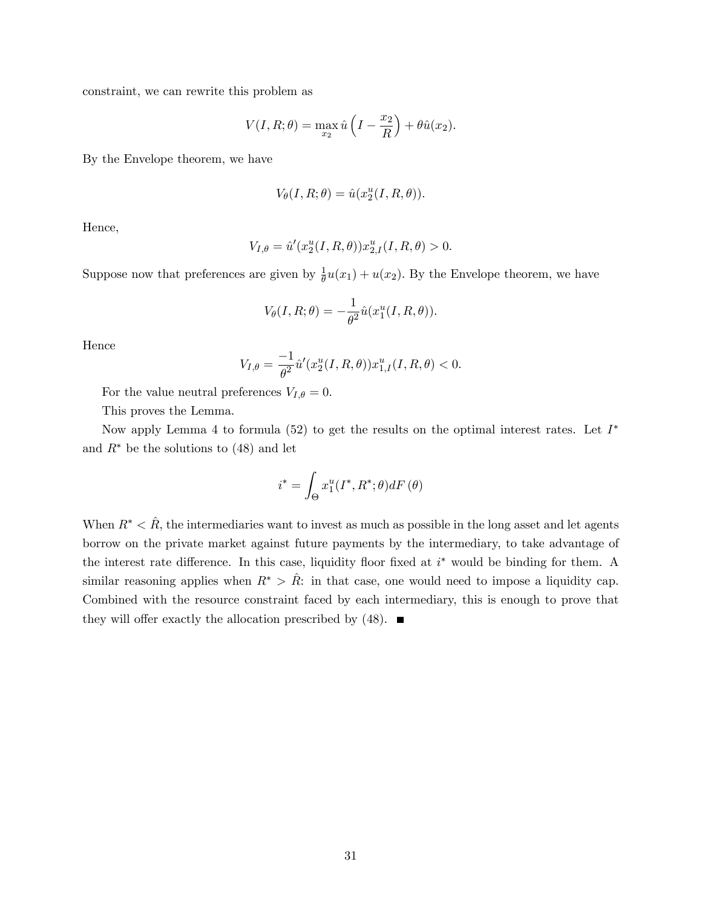constraint, we can rewrite this problem as

$$
V(I, R; \theta) = \max_{x_2} \hat{u} \left( I - \frac{x_2}{R} \right) + \theta \hat{u}(x_2).
$$

By the Envelope theorem, we have

$$
V_{\theta}(I,R;\theta) = \hat{u}(x_2^u(I,R,\theta)).
$$

Hence,

$$
V_{I,\theta} = \hat{u}'(x_2^u(I, R, \theta))x_{2,I}^u(I, R, \theta) > 0.
$$

Suppose now that preferences are given by  $\frac{1}{\theta}u(x_1) + u(x_2)$ . By the Envelope theorem, we have

$$
V_{\theta}(I, R; \theta) = -\frac{1}{\theta^2} \hat{u}(x_1^u(I, R, \theta)).
$$

Hence

$$
V_{I,\theta} = \frac{-1}{\theta^2} \hat{u}'(x_2^u(I, R, \theta)) x_{1,I}^u(I, R, \theta) < 0.
$$

For the value neutral preferences  $V_{I,\theta} = 0$ .

This proves the Lemma.

Now apply Lemma 4 to formula (52) to get the results on the optimal interest rates. Let  $I^*$ and  $R^*$  be the solutions to (48) and let

$$
i^* = \int_{\Theta} x_1^u(I^*, R^*; \theta) dF(\theta)
$$

When  $R^* < \hat{R}$ , the intermediaries want to invest as much as possible in the long asset and let agents borrow on the private market against future payments by the intermediary, to take advantage of the interest rate difference. In this case, liquidity floor fixed at  $i^*$  would be binding for them. A similar reasoning applies when  $R^*$  >  $\hat{R}$ : in that case, one would need to impose a liquidity cap. Combined with the resource constraint faced by each intermediary, this is enough to prove that they will offer exactly the allocation prescribed by (48).  $\blacksquare$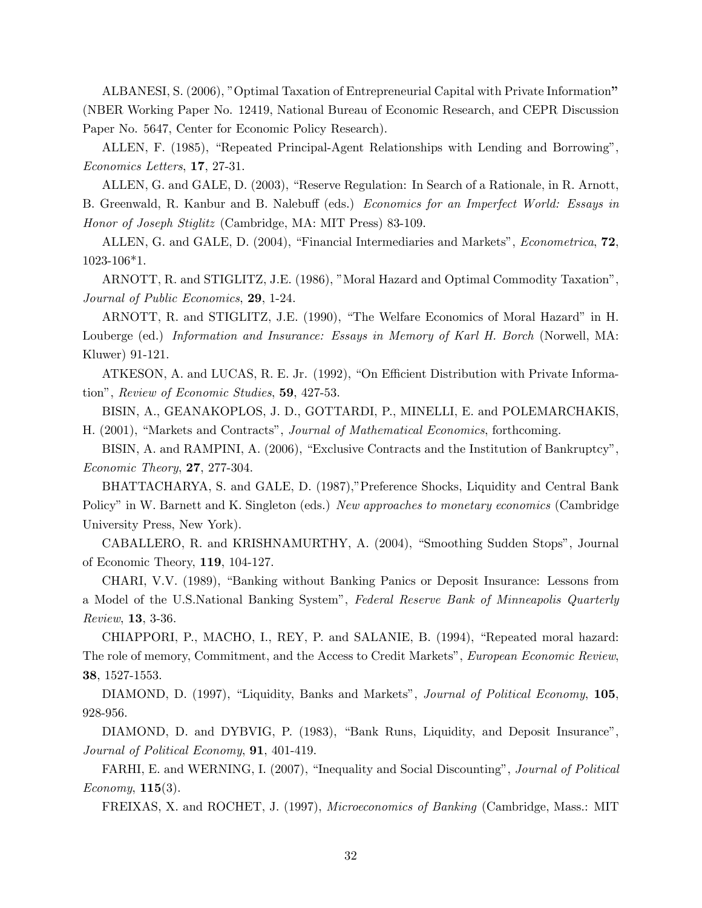ALBANESI, S. (2006), "Optimal Taxation of Entrepreneurial Capital with Private Information" (NBER Working Paper No. 12419, National Bureau of Economic Research, and CEPR Discussion Paper No. 5647, Center for Economic Policy Research).

ALLEN, F. (1985), "Repeated Principal-Agent Relationships with Lending and Borrowing", Economics Letters, 17, 27-31.

ALLEN, G. and GALE, D. (2003), "Reserve Regulation: In Search of a Rationale, in R. Arnott, B. Greenwald, R. Kanbur and B. Nalebuff (eds.) Economics for an Imperfect World: Essays in Honor of Joseph Stiglitz (Cambridge, MA: MIT Press) 83-109.

ALLEN, G. and GALE, D. (2004), "Financial Intermediaries and Markets", *Econometrica*, **72**, 1023-106\*1.

ARNOTT, R. and STIGLITZ, J.E. (1986), "Moral Hazard and Optimal Commodity Taxation", Journal of Public Economics, 29, 1-24.

ARNOTT, R. and STIGLITZ, J.E. (1990), "The Welfare Economics of Moral Hazard" in H. Louberge (ed.) Information and Insurance: Essays in Memory of Karl H. Borch (Norwell, MA: Kluwer) 91-121.

ATKESON, A. and LUCAS, R. E. Jr. (1992), "On Efficient Distribution with Private Information", Review of Economic Studies, **59**, 427-53.

BISIN, A., GEANAKOPLOS, J. D., GOTTARDI, P., MINELLI, E. and POLEMARCHAKIS, H. (2001), "Markets and Contracts", *Journal of Mathematical Economics*, forthcoming.

BISIN, A. and RAMPINI, A. (2006), "Exclusive Contracts and the Institution of Bankruptcy", Economic Theory, 27, 277-304.

BHATTACHARYA, S. and GALE, D. (1987),"Preference Shocks, Liquidity and Central Bank Policy" in W. Barnett and K. Singleton (eds.) New approaches to monetary economics (Cambridge University Press, New York).

CABALLERO, R. and KRISHNAMURTHY, A. (2004), "Smoothing Sudden Stops", Journal of Economic Theory, 119, 104-127.

CHARI, V.V. (1989), "Banking without Banking Panics or Deposit Insurance: Lessons from a Model of the U.S.National Banking Systemî, Federal Reserve Bank of Minneapolis Quarterly Review, 13, 3-36.

CHIAPPORI, P., MACHO, I., REY, P. and SALANIE, B. (1994), "Repeated moral hazard: The role of memory, Commitment, and the Access to Credit Markets", European Economic Review, 38, 1527-1553.

DIAMOND, D. (1997), "Liquidity, Banks and Markets", Journal of Political Economy, 105, 928-956.

DIAMOND, D. and DYBVIG, P. (1983), "Bank Runs, Liquidity, and Deposit Insurance", Journal of Political Economy, **91**, 401-419.

FARHI, E. and WERNING, I. (2007), "Inequality and Social Discounting", *Journal of Political*  $Economy, 115(3)$ .

FREIXAS, X. and ROCHET, J. (1997), Microeconomics of Banking (Cambridge, Mass.: MIT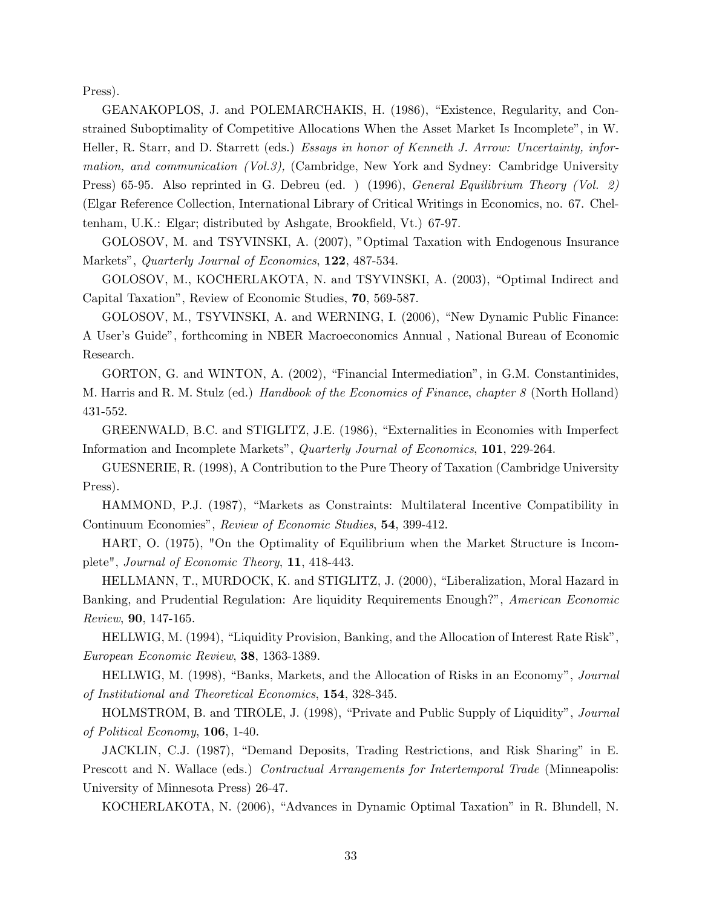Press).

GEANAKOPLOS, J. and POLEMARCHAKIS, H. (1986), "Existence, Regularity, and Constrained Suboptimality of Competitive Allocations When the Asset Market Is Incomplete", in W. Heller, R. Starr, and D. Starrett (eds.) Essays in honor of Kenneth J. Arrow: Uncertainty, information, and communication (Vol.3), (Cambridge, New York and Sydney: Cambridge University Press) 65-95. Also reprinted in G. Debreu (ed. ) (1996), General Equilibrium Theory (Vol. 2) (Elgar Reference Collection, International Library of Critical Writings in Economics, no. 67. Cheltenham, U.K.: Elgar; distributed by Ashgate, Brookfield, Vt.) 67-97.

GOLOSOV, M. and TSYVINSKI, A. (2007), "Optimal Taxation with Endogenous Insurance Markets", Quarterly Journal of Economics, 122, 487-534.

GOLOSOV, M., KOCHERLAKOTA, N. and TSYVINSKI, A. (2003), "Optimal Indirect and Capital Taxationî, Review of Economic Studies, 70, 569-587.

GOLOSOV, M., TSYVINSKI, A. and WERNING, I. (2006), "New Dynamic Public Finance: A Userís Guideî, forthcoming in NBER Macroeconomics Annual , National Bureau of Economic Research.

GORTON, G. and WINTON, A. (2002), "Financial Intermediation", in G.M. Constantinides, M. Harris and R. M. Stulz (ed.) Handbook of the Economics of Finance, chapter 8 (North Holland) 431-552.

GREENWALD, B.C. and STIGLITZ, J.E. (1986), "Externalities in Economies with Imperfect Information and Incomplete Markets", *Quarterly Journal of Economics*, **101**, 229-264.

GUESNERIE, R. (1998), A Contribution to the Pure Theory of Taxation (Cambridge University Press).

HAMMOND, P.J. (1987), "Markets as Constraints: Multilateral Incentive Compatibility in Continuum Economies", Review of Economic Studies, 54, 399-412.

HART, O. (1975), "On the Optimality of Equilibrium when the Market Structure is Incomplete", Journal of Economic Theory, 11, 418-443.

HELLMANN, T., MURDOCK, K. and STIGLITZ, J. (2000), "Liberalization, Moral Hazard in Banking, and Prudential Regulation: Are liquidity Requirements Enough?", American Economic Review, 90, 147-165.

HELLWIG, M. (1994), "Liquidity Provision, Banking, and the Allocation of Interest Rate Risk", European Economic Review, 38, 1363-1389.

HELLWIG, M. (1998), "Banks, Markets, and the Allocation of Risks in an Economy", Journal of Institutional and Theoretical Economics, 154, 328-345.

HOLMSTROM, B. and TIROLE, J. (1998), "Private and Public Supply of Liquidity", Journal of Political Economy, 106, 1-40.

JACKLIN, C.J. (1987), "Demand Deposits, Trading Restrictions, and Risk Sharing" in E. Prescott and N. Wallace (eds.) Contractual Arrangements for Intertemporal Trade (Minneapolis: University of Minnesota Press) 26-47.

KOCHERLAKOTA, N. (2006), "Advances in Dynamic Optimal Taxation" in R. Blundell, N.